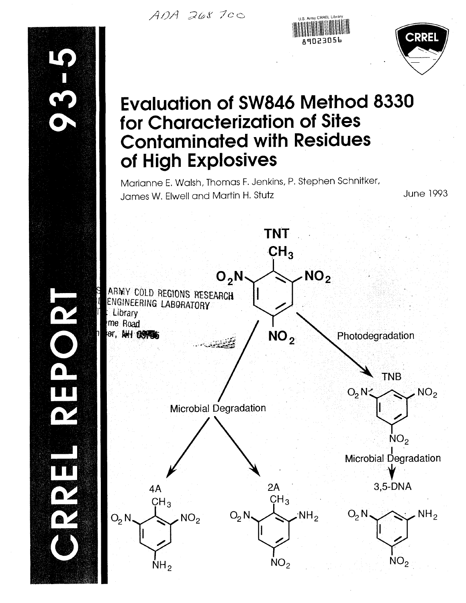ADA 268700





# **Evaluation of SW846 Method 8330** for Characterization of Sites **Contaminated with Residues** of High Explosives

Marianne E. Walsh, Thomas F. Jenkins, P. Stephen Schnitker, James W. Elwell and Martin H. Stutz

**June 1993** 

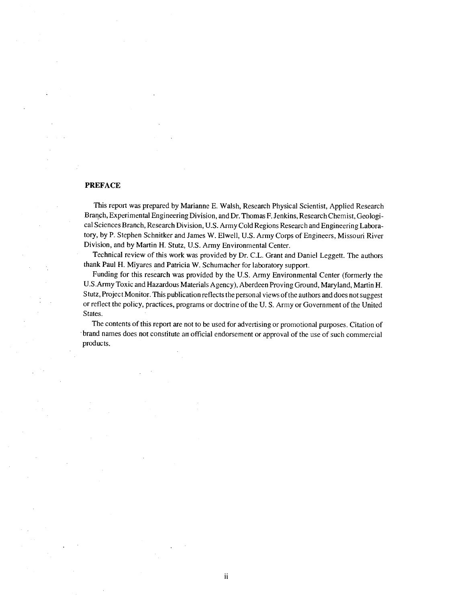#### **PREFACE**

This report was prepared by Marianne E. Walsh, Research Physical Scientist, Applied Research Branch, Experimental Engineering Division, and Dr. Thomas F. Jenkins, Research Chemist, Geological Sciences Branch, Research Division, U.S. Army Cold Regions Research and Engineering Laboratory, by P. Stephen Schnitker and James W. Elwell, U.S. Army Corps of Engineers, Missouri River Division, and by Martin H. Stutz, U.S. Army Environmental Center.

Technical review of this work was provided by Dr. C.L. Grant and Daniel Leggett. The authors thank Paul H. Miyares and Patricia W. Schumacher for laboratory support.

Funding for this research was provided by the U.S. Army Environmental Center (formerly the U.S.Army Toxic and Hazardous Materials Agency), Aberdeen Proving Ground, Maryland, Martin H. Stutz, Project Monitor. This publication reflects the personal views of the authors and does not suggest or reflect the policy, practices, programs or doctrine of the U.S. Army or Government of the United States.

The contents of this report are not to be used for advertising or promotional purposes. Citation of brand names does not constitute an official endorsement or approval of the use of such commercial products.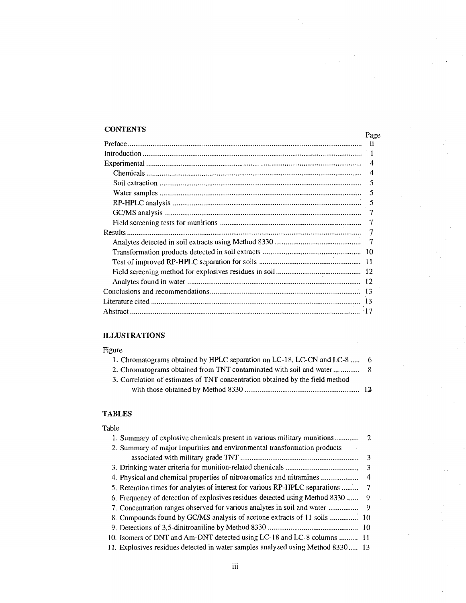### **CONTENTS**

| <b>CONTENTS</b> | Page           |
|-----------------|----------------|
|                 |                |
|                 |                |
|                 | $\overline{4}$ |
|                 | $\overline{4}$ |
|                 | -5             |
|                 | .5             |
|                 |                |
|                 |                |
|                 | 7              |
|                 |                |
|                 |                |
|                 |                |
|                 |                |
|                 |                |
|                 |                |
|                 |                |
|                 |                |
|                 |                |

### **ILLUSTRATIONS**

### Figure

| 1. Chromatograms obtained by HPLC separation on LC-18, LC-CN and LC-8  6      |  |
|-------------------------------------------------------------------------------|--|
|                                                                               |  |
| 3. Correlation of estimates of TNT concentration obtained by the field method |  |
|                                                                               |  |

### **TABLES**

| 1. Summary of explosive chemicals present in various military munitions         | - 2            |
|---------------------------------------------------------------------------------|----------------|
| 2. Summary of major impurities and environmental transformation products        |                |
|                                                                                 |                |
|                                                                                 | $\overline{3}$ |
|                                                                                 | $\overline{4}$ |
| 5. Retention times for analytes of interest for various RP-HPLC separations     | 7              |
| 6. Frequency of detection of explosives residues detected using Method 8330     | 9              |
|                                                                                 |                |
|                                                                                 |                |
|                                                                                 |                |
| 10. Isomers of DNT and Am-DNT detected using LC-18 and LC-8 columns  11         |                |
| 11. Explosives residues detected in water samples analyzed using Method 8330 13 |                |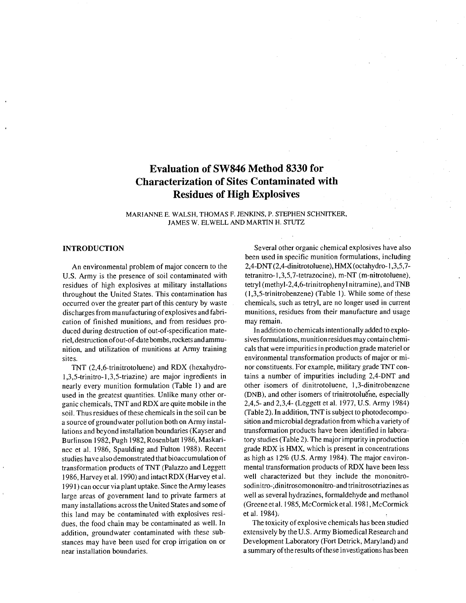### **Evaluation of SW846 Method 8330 for Characterization of Sites Contaminated with Residues of High Explosives**

MARIANNE E. WALSH, THOMAS F. JENKINS, P. STEPHEN SCHNITKER, JAMES W. ELWELL AND MARTIN H. STUTZ

#### **INTRODUCTION**

An environmental problem of major concern to the U.S. Army is the presence of soil contaminated with residues of high explosives at military installations throughout the United States. This contamination has occurred over the greater part of this century by waste discharges from manufacturing of explosives and fabrication of finished munitions, and from residues produced during destruction of out-of-specification materiel, destruction of out-of-date bombs, rockets and ammunition, and utilization of munitions at Army training sites.

TNT (2,4,6-trinitrotoluene) and RDX (hexahydro-1,3,5-trinitro-1,3,5-triazine) are major ingredients in nearly every munition formulation (Table 1) and are used in the greatest quantities. Unlike many other organic chemicals, TNT and RDX are quite mobile in the soil. Thus residues of these chemicals in the soil can be a source of groundwater pollution both on Army installations and beyond installation boundaries (Kayser and Burlinson 1982, Pugh 1982, Rosenblatt 1986, Maskarinec et al. 1986, Spaulding and Fulton 1988). Recent studies have also demonstrated that bioaccumulation of transformation products of TNT (Palazzo and Leggett 1986, Harvey et al. 1990) and intact RDX (Harvey et al. 1991) can occur via plant uptake. Since the Army leases large areas of government land to private farmers at many installations across the United States and some of this land may be contaminated with explosives residues, the food chain may be contaminated as well. In addition, groundwater contaminated with these substances may have been used for crop irrigation on or near installation boundaries.

Several other organic chemical explosives have also been used in specific munition formulations, including 2,4-DNT (2,4-dinitrotoluene), HMX (octahydro-1,3,5,7tetranitro-1,3,5,7-tetrazocine), m-NT (m-nitrotoluene), tetryl (methyl-2,4,6-trinitrophenyl nitramine), and TNB (1,3,5-trinitrobenzene) (Table 1). While some of these chemicals, such as tetryl, are no longer used in current munitions, residues from their manufacture and usage may remain.

In addition to chemicals intentionally added to explosives formulations, munition residues may contain chemicals that were impurities in production grade materiel or environmental transformation products of major or minor constituents. For example, military grade TNT contains a number of impurities including 2,4-DNT and other isomers of dinitrotoluene, 1,3-dinitrobenzene (DNB), and other isomers of trinitrotoluene, especially 2,4,5- and 2,3,4- (Leggett et al. 1977, U.S. Army 1984) (Table 2). In addition, TNT is subject to photodecomposition and microbial degradation from which a variety of transformation products have been identified in laboratory studies (Table 2). The major impurity in production grade RDX is HMX, which is present in concentrations as high as 12% (U.S. Army 1984). The major environmental transformation products of RDX have been less well characterized but they include the mononitrosodinitro-,dinitrosomononitro-and trinitrosotriazines as well as several hydrazines, formaldehyde and methanol (Greene et al. 1985, McCormick et al. 1981, McCormick et al. 1984).

The toxicity of explosive chemicals has been studied extensively by the U.S. Army Biomedical Research and Development Laboratory (Fort Detrick, Maryland) and a summary of the results of these investigations has been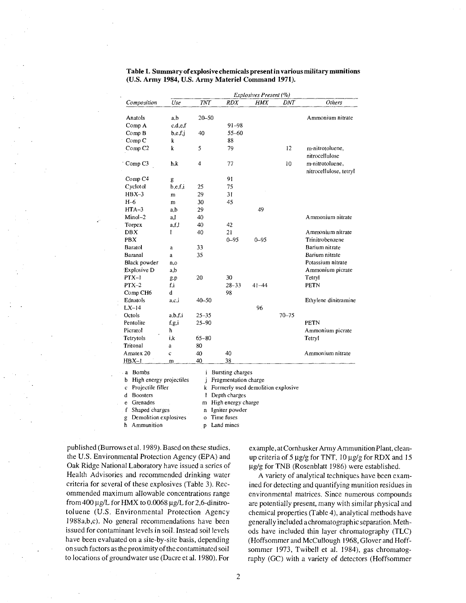|                              |              |            |                                    | Explosives Present (%) |            |                        |
|------------------------------|--------------|------------|------------------------------------|------------------------|------------|------------------------|
| Composition                  | Use          | <b>TNT</b> | <b>RDX</b>                         | <b>HMX</b>             | <b>DNT</b> | Others                 |
| Anatols                      | a,b          | 20–50      |                                    |                        |            | Ammonium nitrate       |
| Comp A                       | c.d.e.f      |            | $91 - 98$                          |                        |            |                        |
| Comp B                       | b,e,f,j      | 40         | $55 - 60$                          |                        |            |                        |
| Comp <sub>C</sub>            | k            |            | 88                                 |                        |            |                        |
|                              | k            | 5          | 79                                 |                        | 12         | m-nitrotoluene,        |
| Comp <sub>C2</sub>           |              |            |                                    |                        |            | nitrocellulose         |
| Comp <sub>C3</sub>           | h,k          | 4          | 77                                 |                        | 10         | m-nitrotoluene,        |
|                              |              |            |                                    |                        |            | nitrocellulose, tetryl |
| Comp <sub>C4</sub>           |              |            | 91                                 |                        |            |                        |
| Cyclotol                     | g<br>b.e.f.i |            | 75                                 |                        |            |                        |
| $HBX-3$                      |              | 25<br>29   | 31                                 |                        |            |                        |
|                              | m            |            |                                    |                        |            |                        |
| $H-6$                        | m            | 30         | 45                                 |                        |            |                        |
| $HTA-3$                      | a,b          | 29         |                                    | 49                     |            |                        |
| $Minol-2$                    | a.l          | 40         |                                    |                        |            | Ammonium nitrate       |
| Torpex                       | a.f.l        | 40         | 42                                 |                        |            |                        |
| DBX                          | Ŧ            | 40         | 21                                 |                        |            | Ammonium nitrate       |
| PBX                          |              |            | $0 - 95$                           | $0 - 95$               |            | Trinitrobenzene        |
| Baratol                      | a            | 33         |                                    |                        |            | Barium nitrate         |
| Baranal                      | a            | 35         |                                    |                        |            | Barium nitrate         |
| Black powder                 | n, o         |            |                                    |                        |            | Potassium nitrate      |
| Explosive D                  | a,b          |            |                                    |                        |            | Ammonium picrate       |
| $PTX-1$                      | g.p          | 20         | 30                                 |                        |            | Tetryl                 |
| $PTX-2$                      | f.i          |            | $28 - 33$                          | $41 - 44$              |            | PETN                   |
| Comp CH6                     | d            |            | 98                                 |                        |            |                        |
| Ednatols                     | a,c,i        | 40-50      |                                    |                        |            | Ethylene dinitramine   |
| $LX-14$                      |              |            |                                    | 96                     |            |                        |
| Octols                       | a.b.f.i      | $25 - 35$  |                                    |                        | $70 - 75$  |                        |
| Pentolite                    | f,g,i        | $25 - 90$  |                                    |                        |            | <b>PETN</b>            |
| Picratol                     | h            |            |                                    |                        |            | Ammonium picrate       |
| Tetrytols                    | i.k          | $65 - 80$  |                                    |                        |            | Tetryl                 |
| Tritonal                     | a            | 80         |                                    |                        |            |                        |
| A matex 20                   | c            | 40         | 40                                 |                        |            | Ammonium nitrate       |
| $HBX-1$                      | m            | 40         | 38                                 |                        |            |                        |
| <b>Bombs</b><br>$\cdot$ a    |              | i          | <b>Bursting charges</b>            |                        |            |                        |
| High energy projectiles<br>b |              | j          | Fragmentation charge               |                        |            |                        |
| Projectile filler<br>c       |              | k          | Formerly used demolition explosive |                        |            |                        |
| <b>Boosters</b><br>d         |              | l          | Depth charges                      |                        |            |                        |

#### Table 1. Summary of explosive chemicals present in various military munitions (U.S. Army 1984, U.S. Army Materiel Command 1971).

m High energy charge

n Igniter powder

p Land mines

Shaped charges o Time fuses

g Demolition explosives h Ammunition

Grenades

e

published (Burrows et al. 1989). Based on these studies, the U.S. Environmental Protection Agency (EPA) and Oak Ridge National Laboratory have issued a series of Health Advisories and recommended drinking water criteria for several of these explosives (Table 3). Recommended maximum allowable concentrations range from 400  $\mu$ g/L for HMX to 0.0068  $\mu$ g/L for 2,6-dinitrotoluene (U.S. Environmental Protection Agency 1988a,b,c). No general recommendations have been issued for contaminant levels in soil. Instead soil levels have been evaluated on a site-by-site basis, depending on such factors as the proximity of the contaminated soil to locations of groundwater use (Dacre et al. 1980). For

example, at Cornhusker Army Ammunition Plant, cleanup criteria of 5  $\mu$ g/g for TNT, 10  $\mu$ g/g for RDX and 15  $\mu$ g/g for TNB (Rosenblatt 1986) were established.

A variety of analytical techniques have been examined for detecting and quantifying munition residues in environmental matrices. Since numerous compounds are potentially present, many with similar physical and chemical properties (Table 4), analytical methods have generally included a chromatographic separation. Methods have included thin layer chromatography (TLC) (Hoffsommer and McCullough 1968, Glover and Hoffsommer 1973, Twibell et al. 1984), gas chromatography (GC) with a variety of detectors (Hoffsommer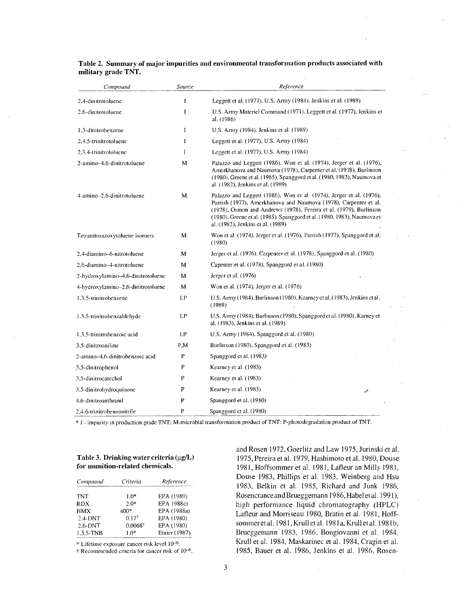| Compound                           | Source       | Reference                                                                                                                                                                                                                                                                                                                      |
|------------------------------------|--------------|--------------------------------------------------------------------------------------------------------------------------------------------------------------------------------------------------------------------------------------------------------------------------------------------------------------------------------|
| 2.4-dinitrotoluene                 | 1            | Leggett et al. (1977), U.S. Army (1984), Jenkins et al. (1989)                                                                                                                                                                                                                                                                 |
| 2.6-dinitrotoluene                 | $\mathbf{I}$ | U.S. Army Materiel Command (1971). Leggett et al. (1977), Jenkins et<br>al. (1986)                                                                                                                                                                                                                                             |
| 1.3-dinitrobenzene                 | 1            | U.S. Army (1984). Jenkins et al. (1989)                                                                                                                                                                                                                                                                                        |
| 2,4,5-trinitrotoluene              | 1            | Leggett et al. (1977), U.S. Army (1984)                                                                                                                                                                                                                                                                                        |
| 2.3.4-trinitrotoluene              | 1            | Leggett et al. (1977), U.S. Army (1984)                                                                                                                                                                                                                                                                                        |
| 2-amino-4.6-dinitrotoluene         | M            | Palazzo and Leggett (1986), Won et al. (1974), Jerger et al. (1976),<br>Amerkhanova and Naumova (1978), Carpenter et al. (1978), Burlinson<br>(1980), Greene et al. (1985), Spanggord et al. (1980, 1983), Naumova et<br>al. (1982), Jenkins et al. (1989)                                                                     |
| 4-amino-2.6-dinitrotoluene         | M            | Palazzo and Leggett (1986), Won et al. (1974), Jerger et al. (1976),<br>Parrish (1977), Amerkhanova and Naumova (1978), Carpenter et al.<br>(1978), Osmon and Andrews (1978), Pereira et al. (1979), Burlinson<br>(1980), Greene et al. (1985), Spanggord et al. (1980, 1983), Naumova et<br>al. (1982), Jenkins et al. (1989) |
| Tetranitroazoxytoluene isomers     | M            | Won et al. (1974), Jerger et al. (1976), Parrish (1977), Spanggord et al.<br>(1980)                                                                                                                                                                                                                                            |
| 2,4-diamino-6-nitrotoluene         | M            | Jerger et al. (1976), Carpenter et al. (1978), Spanggord et al. (1980)                                                                                                                                                                                                                                                         |
| 2.6-diamino-4-nitrotoluene         | м            | Capenter et al. (1978). Spanggord et al. (1980)                                                                                                                                                                                                                                                                                |
| 2-hydroxylamino-4,6-dinitrotoluene | M            | Jerger et al. (1976)                                                                                                                                                                                                                                                                                                           |
| 4-hydroxylamino-2.6-dinitrotoluene | M            | Won et al. (1974). Jerger et al. (1976)                                                                                                                                                                                                                                                                                        |
| 1.3.5-trinitrobenzene              | 1,P          | U.S. Army (1984), Burlinson (1980), Kearney et al. (1983), Jenkins et al.<br>(1989)                                                                                                                                                                                                                                            |
| 1.3.5-trinitrobenzaldehyde         | I,P          | U.S. Army (1984), Burlinson (1980), Spanggord et al. (1980), Karney et<br>al. (1983), Jenkins et al. (1989)                                                                                                                                                                                                                    |
| 1,3,5-trinitrobenzoic acid         | 1.P          | U.S. Army (1984), Spanggord et al. (1980)                                                                                                                                                                                                                                                                                      |
| 3.5-dinitroaniline                 | P.M          | Burlinson (1980), Spanggord et al. (1983)                                                                                                                                                                                                                                                                                      |
| 2-amino-4,6-dinitrobenzoic acid    | P            | Spanggord et al. (1983)                                                                                                                                                                                                                                                                                                        |
| 3.5-dinitrophenol                  | P            | Kearney et al. (1983)                                                                                                                                                                                                                                                                                                          |
| 3.5-dinitrocatechol                | P            | Kearney et al. (1983)                                                                                                                                                                                                                                                                                                          |
| 3.5-dinitrohydroquinone            | P            | Kearney et al. (1983)<br>أتكث                                                                                                                                                                                                                                                                                                  |
| 4.6-dinitroanthranil               | P            | Spanggord et al. (1980)                                                                                                                                                                                                                                                                                                        |
| 2,4,6-trinitrobenzonitrile         | P            | Spanggord et al. (1980)                                                                                                                                                                                                                                                                                                        |

#### Table 2. Summary of major impurities and environmental transformation products associated with military grade TNT.

\* 1 - impurity in production grade TNT; M-microbial transformation product of TNT; P-photodegradation product of TNT.

#### Table 3. Drinking water criteria (µg/L) for munition-related chemicals.

| Compound   | Criteria | Reference     |
|------------|----------|---------------|
| <b>TNT</b> | $10*$    | EPA (1989)    |
| <b>RDX</b> | $2.0*$   | EPA 1988c)    |
| <b>HMX</b> | 400*     | EPA (1988a)   |
| $2.4-DNT$  | $0.17^+$ | EPA (1980)    |
| $2.6-DNT$  | 0.00687  | EPA (1980)    |
| 1.3.5-TNB  | $10*$    | Etnier (1987) |

\* Lifetime exposure cancer risk level 10<sup>-6</sup>.

+ Recommended criteria for cancer risk of 10-6.

and Rosen 1972, Goerlitz and Law 1975, Jurinski et al. 1975, Pereira et al. 1979, Hashimoto et al. 1980, Douse 1981, Hoffsommer et al. 1981, Lafleur an Mills 1981, Douse 1983, Phillips et al. 1983, Weinberg and Hsu 1983, Belkin et al. 1985, Richard and Junk 1986, Rosencrance and Brueggemann 1986, Habel et al. 1991), high performance liquid chromatography (HPLC) Lafleur and Morriseau 1980, Bratin et al. 1981, Hoffsommer et al. 1981, Krull et al. 1981a, Krull et al. 1981b, Brueggemann 1983, 1986, Bongiovanni et al. 1984, Krull et al. 1984, Maskarinec et al. 1984, Cragin et al. 1985, Bauer et al. 1986, Jenkins et al. 1986, Rosen-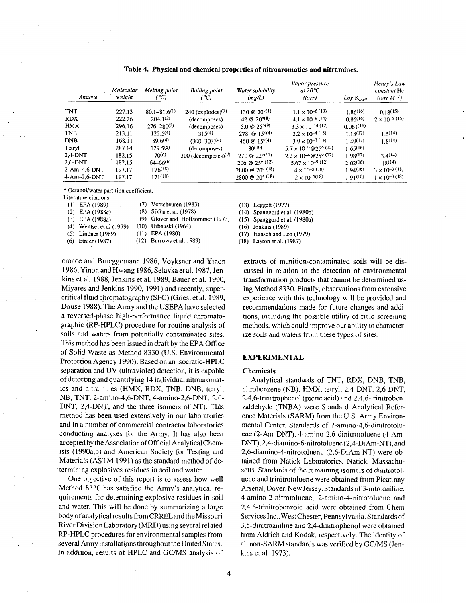| Analyte          | Molecular<br>weight | Melting point<br>(°C) | <b>Boiling point</b><br>(°C)    | Water solubility<br>(mg/L)        | Vapor pressure<br>at $20^{\circ}C$<br>(torr) | $Log K_{ow*}$ | Henry's Law<br>constant Hc<br>$(torr M^{-1})$ |
|------------------|---------------------|-----------------------|---------------------------------|-----------------------------------|----------------------------------------------|---------------|-----------------------------------------------|
| <b>TNT</b>       | 227.13              | $80.1 - 81.6^{(1)}$   | $240$ (explodes) <sup>(7)</sup> | 130 @ 20 <sup>o(1)</sup>          | $1.1 \times 10^{-6(13)}$                     | 1.86(16)      | 0.18(15)                                      |
| <b>RDX</b>       | 222.26              | $204.1^{(2)}$         | (decomposes)                    | 42 @ $20^{\circ(8)}$              | $4.1 \times 10^{-9}$ (14)                    | 0.86(16)      | $2 \times 10^{-5}$ (15)                       |
| <b>HMX</b>       | 296.16              | $276 - 280^{(3)}$     | (decomposes)                    | 5.0 @ $25^{\circ(9)}$             | $3.3 \times 10^{-14}$ (12)                   | 0.061(16)     |                                               |
| <b>TNB</b>       | 213.11              | $122.5^{(4)}$         | 315(4)                          | $278$ @ $15^{\circ(4)}$           | $2.2 \times 10^{-4}$ (15)                    | 1.18(17)      | 1,5(14)                                       |
| <b>DNB</b>       | 168.11              | 89.6(4)               | $(300 - 303)(4)$                | 460 @ $15^{\circ(4)}$             | $3.9 \times 10^{-3}$ (14)                    | 1.49(17)      | 1.8(14)                                       |
| Tetryl           | 287.14              | 129.5(5)              | (decomposes)                    | 80(10)                            | $5.7 \times 10^{-9} @ 25^{\circ} (12)$       | 1.65(16)      |                                               |
| $2,4$ -DNT       | 182.15              | 70(6)                 | 300 (decomposes) $(7)$          | $270 \circ 22^{\circ (11)}$       | $2.2 \times 10^{-4}$ @25° (12)               | 1.98(17)      | 3.4(14)                                       |
| $2.6$ -DNT       | 182.15              | $64 - 66^{(6)}$       |                                 | $206 \oplus 25^{\circ}$ (12)      | $5.67 \times 10^{-9}$ (12)                   | $2.02^{(16)}$ | 18(14)                                        |
| $2$ -Am-4,6-DNT  | 197.17              | 176(18)               |                                 | $2800 \text{ @ } 20^{\circ}$ (18) | $4 \times 10^{-5}$ (18)                      | 1.94(16)      | $3 \times 10^{-3}$ (18)                       |
| $4$ -Am--2.6-DNT | 197.17              | $171^{(18)}$          |                                 | $2800 \text{ @ } 20^{\circ}$ (18) | $2 \times 10^{-5(18)}$                       | 1.91(16)      | $1 \times 10^{-3}$ (18)                       |

Table 4. Physical and chemical properties of nitroaromatics and nitramines.

\* Octanol/water partition coefficient.

Literature citations:

| $(1)$ EPA $(1989)$<br><b>Contract</b> | $(7)$ Verscheuren (1983)         |
|---------------------------------------|----------------------------------|
| $(2)$ EPA $(1988c)$                   | (8) Sikka et al. (1978)          |
| $(3)$ EPA $(1988a)$                   | (9) Glover and Hoffsommer (1973) |
| $(4)$ Wentsel et al $(1979)$          | (10) Urbanski (1964)             |
| $(5)$ Lindner (1989)                  | $(11)$ EPA $(1980)$              |
| $(6)$ Etnier (1987)                   | (12) Burrows et al. 1989)        |
|                                       |                                  |

crance and Brueggemann 1986, Voyksner and Yinon 1986, Yinon and Hwang 1986, Selavka et al. 1987, Jenkins et al. 1988, Jenkins et al. 1989, Bauer et al. 1990, Miyares and Jenkins 1990, 1991) and recently, supercritical fluid chromatography (SFC) (Griest et al. 1989, Douse 1988). The Army and the USEPA have selected a reversed-phase high-performance liquid chromatographic (RP-HPLC) procedure for routine analysis of soils and waters from potentially contaminated sites. This method has been issued in draft by the EPA Office of Solid Waste as Method 8330 (U.S. Environmental Protection Agency 1990). Based on an isocratic-HPLC separation and UV (ultraviolet) detection, it is capable of detecting and quantifying 14 individual nitroaromatics and nitramines (HMX, RDX, TNB, DNB, tetryl, NB, TNT, 2-amino-4,6-DNT, 4-amino-2,6-DNT, 2,6-DNT, 2,4-DNT, and the three isomers of NT). This method has been used extensively in our laboratories and in a number of commercial contractor laboratories conducting analyses for the Army. It has also been accepted by the Association of Official Analytical Chemists (1990a,b) and American Society for Testing and Materials (ASTM 1991) as the standard method of determining explosives residues in soil and water.

One objective of this report is to assess how well Method 8330 has satisfied the Army's analytical requirements for determining explosive residues in soil and water. This will be done by summarizing a large body of analytical results from CRREL and the Missouri River Division Laboratory (MRD) using several related RP-HPLC procedures for environmental samples from several Army installations throughout the United States. In addition, results of HPLC and GC/MS analysis of

(13) Leggett (1977)

(14) Spanggord et al. (1980b)

 $(15)$  Spanggord et al.  $(1980a)$ 

 $(16)$  Jenkins  $(1989)$ 

(17) Hansch and Leo (1979)

(18) Layton et al. (1987)

extracts of munition-contaminated soils will be discussed in relation to the detection of environmental transformation products that cannot be determined using Method 8330. Finally, observations from extensive experience with this technology will be provided and recommendations made for future changes and additions, including the possible utility of field screening methods, which could improve our ability to characterize soils and waters from these types of sites.

#### **EXPERIMENTAL**

#### **Chemicals**

Analytical standards of TNT, RDX, DNB, TNB, nitrobenzene (NB), HMX, tetryl, 2,4-DNT, 2,6-DNT, 2,4,6-trinitrophenol (picric acid) and 2,4,6-trinitrobenzaldehyde (TNBA) were Standard Analytical Reference Materials (SARM) from the U.S. Army Environmental Center. Standards of 2-amino-4,6-dinitrotoluene (2-Am-DNT), 4-amino-2,6-dinitrotoluene (4-Am-DNT), 2,4-diamino-6-nitrotoluene (2,4-DiAm-NT), and 2,6-diamino-4-nitrotoluene (2,6-DiAm-NT) were obtained from Natick Laboratories, Natick, Massachusetts. Standards of the remaining isomers of dinitrotoluene and trinitrotoluene were obtained from Picatinny Arsenal, Dover, New Jersey. Standards of 3-nitroaniline, 4-amino-2-nitrotoluene, 2-amino-4-nitrotoluene and 2,4,6-trinitrobenzoic acid were obtained from Chem Services Inc., West Chester, Pennsylvania. Standards of 3,5-dinitroaniline and 2,4-dinitrophenol were obtained from Aldrich and Kodak, respectively. The identity of all non-SARM standards was verified by GC/MS (Jenkins et al. 1973).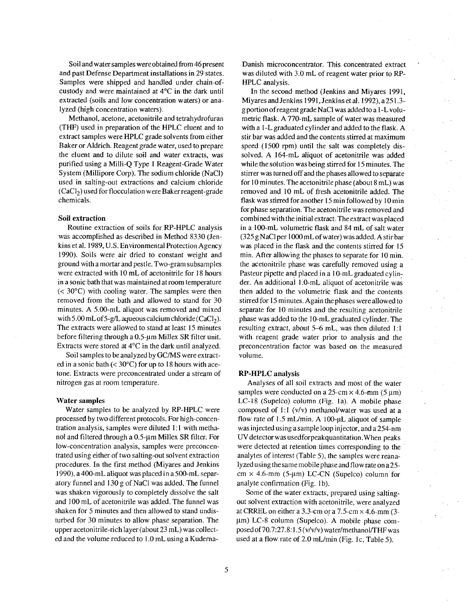Soil and water samples were obtained from 46 present and past Defense Department installations in 29 states. Samples were shipped and handled under chain-ofcustody and were maintained at 4°C in the dark until extracted (soils and low concentration waters) or analyzed (high concentration waters).

Methanol, acetone, acetonitrile and tetrahydrofuran (THF) used in preparation of the HPLC eluent and to extract samples were HPLC grade solvents from either Baker or Aldrich. Reagent grade water, used to prepare the eluent and to dilute soil and water extracts, was purified using a Milli-Q Type 1 Reagent-Grade Water System (Millipore Corp). The sodium chloride (NaCl) used in salting-out extractions and calcium chloride  $(CaCl<sub>2</sub>)$  used for flocculation were Baker reagent-grade chemicals.

#### Soil extraction

Routine extraction of soils for RP-HPLC analysis was accomplished as described in Method 8330 (Jenkins et al. 1989, U.S. Environmental Protection Agency 1990). Soils were air dried to constant weight and ground with a mortar and pestle. Two-gram subsamples were extracted with 10 mL of acetonitrile for 18 hours in a sonic bath that was maintained at room temperature  $(< 30^{\circ}$ C) with cooling water. The samples were then removed from the bath and allowed to stand for 30 minutes. A 5.00-mL aliquot was removed and mixed with 5.00 mL of 5-g/L aqueous calcium chloride (CaCl<sub>2</sub>). The extracts were allowed to stand at least 15 minutes before filtering through a 0.5-um Millex SR filter unit. Extracts were stored at  $4^{\circ}$ C in the dark until analyzed.

Soil samples to be analyzed by GC/MS were extracted in a sonic bath (<  $30^{\circ}$ C) for up to 18 hours with acetone. Extracts were preconcentrated under a stream of nitrogen gas at room temperature.

#### **Water samples**

Water samples to be analyzed by RP-HPLC were processed by two different protocols. For high-concentration analysis, samples were diluted 1:1 with methanol and filtered through a 0.5-µm Millex SR filter. For low-concentration analysis, samples were preconcentrated using either of two salting-out solvent extraction procedures. In the first method (Miyares and Jenkins 1990), a 400-mL aliquot was placed in a 500-mL separatory funnel and 130 g of NaCl was added. The funnel was shaken vigorously to completely dissolve the salt and 100 mL of acetonitrile was added. The funnel was shaken for 5 minutes and then allowed to stand undisturbed for 30 minutes to allow phase separation. The upper acetonitrile-rich layer (about 23 mL) was collected and the volume reduced to 1.0 mL using a KudernaDanish microconcentrator. This concentrated extract was diluted with 3.0 mL of reagent water prior to RP-HPLC analysis.

In the second method (Jenkins and Miyares 1991, Miyares and Jenkins 1991, Jenkins et al. 1992), a 251.3g portion of reagent grade NaCl was added to a 1-L volumetric flask. A 770-mL sample of water was measured with a 1-L graduated cylinder and added to the flask. A stir bar was added and the contents stirred at maximum speed (1500 rpm) until the salt was completely dissolved. A 164-mL aliquot of acetonitrile was added while the solution was being stirred for 15 minutes. The stirrer was turned off and the phases allowed to separate for 10 minutes. The acetonitrile phase (about 8 mL) was removed and 10 mL of fresh acetonitrile added. The flask was stirred for another 15 min followed by 10 min for phase separation. The acetonitrile was removed and combined with the initial extract. The extract was placed in a 100-mL volumetric flask and 84 mL of salt water (325 g NaCl per 1000 mL of water) was added. A stir bar was placed in the flask and the contents stirred for 15 min. After allowing the phases to separate for 10 min. the acetonitrile phase was carefully removed using a Pasteur pipette and placed in a 10-mL graduated cylinder. An additional 1.0-mL aliquot of acetonitrile was then added to the volumetric flask and the contents stirred for 15 minutes. Again the phases were allowed to separate for 10 minutes and the resulting acetonitrile phase was added to the 10-mL graduated cylinder. The resulting extract, about 5–6 mL, was then diluted 1:1 with reagent grade water prior to analysis and the preconcentration factor was based on the measured volume.

#### **RP-HPLC** analysis

Analyses of all soil extracts and most of the water samples were conducted on a 25-cm  $\times$  4.6-mm (5 µm) LC-18 (Supelco) column (Fig. 1a). A mobile phase composed of 1:1 (v/v) methanol/water was used at a flow rate of 1.5 mL/min. A 100-µL aliquot of sample was injected using a sample loop injector, and a 254-nm UV detector was usedfor peak quantitation. When peaks were detected at retention times corresponding to the analytes of interest (Table 5), the samples were reanalyzed using the same mobile phase and flow rate on a 25cm  $\times$  4.6-mm (5-µm) LC-CN (Supelco) column for analyte confirmation (Fig. 1b).

Some of the water extracts, prepared using saltingout solvent extraction with acetonitrile, were analyzed at CRREL on either a 3.3-cm or a 7.5-cm  $\times$  4.6-mm (3µm) LC-8 column (Supelco). A mobile phase composed of 70.7:27.8:1.5 (v/v/v) water/methanol/THF was used at a flow rate of 2.0 mL/min (Fig. 1c, Table 5).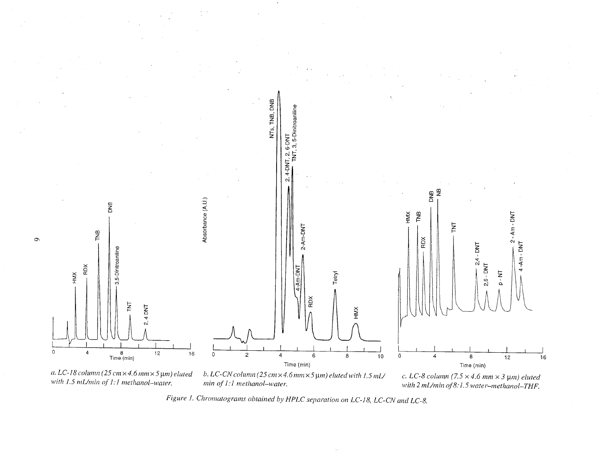

Figure 1. Chromatograms obtained by HPLC separation on LC-18, LC-CN and LC-8.

with 2 mL/min of 8:1.5 water-methanol-THF.

min of 1:1 methanol-water.

 $\bullet$ 

with 1.5 mL/min of 1:1 methanol-water.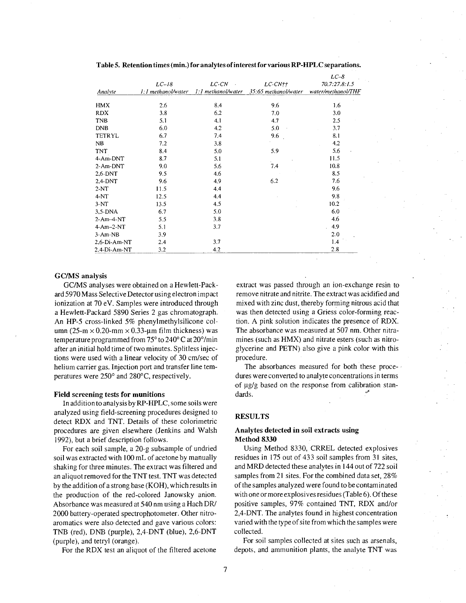|              |                    |       |                                         | $LC-8$             |
|--------------|--------------------|-------|-----------------------------------------|--------------------|
|              | $LC-18$            | LC-CN | $LC$ - $CN$ ††                          | 70.7:27.8:1.5      |
| Analyte      | 1:1 methanol/water |       | 1:1 methanol/water 35:65 methanol/water | water/methanol/THF |
| HMX          | 2.6                | 8.4   | 9.6                                     | 1.6                |
| <b>RDX</b>   | 3.8                | 6.2   | 7.0                                     | 3.0                |
| TNB          | 5.1                | 4.1   | 4.7                                     | 2.5                |
| <b>DNB</b>   | 6.0                | 4.2   | 5.0                                     | 3.7                |
| TETRYL       | 6.7                | 7.4   | 9.6                                     | 8.1                |
| NB.          | 7.2                | 3.8   |                                         | 4.2                |
| TNT          | 8.4                | 5.0   | 5.9                                     | 5.6                |
| 4-Am-DNT     | 8.7                | 5.1   |                                         | 11.5               |
| 2-Am-DNT     | 9.0                | 5.6   | 7.4                                     | 10.8               |
| 2,6-DNT      | 9.5                | 4.6   |                                         | 8.5                |
| 2,4-DNT      | 9.6                | 4.9   | 6.2                                     | 7.6                |
| $2-NT$       | 11.5               | 4.4   |                                         | 9.6                |
| 4-NT         | 12.5               | 4.4   |                                         | 9.8                |
| $3-NT$       | 13.5               | 4.5   |                                         | 10.2               |
| 3,5-DNA      | 6.7                | 5.0   |                                         | 6.0                |
| $2$ -Am-4-NT | 5.5                | 3.8   |                                         | 4.6                |
| 4-Am-2-NT    | 5.1                | 3.7   |                                         | 4.9                |
| 3-Am-NB      | 3.9                |       |                                         | 2.0                |
| 2.6-Di-Am-NT | 2.4                | 3.7   |                                         | 1.4                |
| 2.4-Di-Am-NT | 3.2                | 4.2   |                                         | 2.8                |

Table 5. Retention times (min.) for analytes of interest for various RP-HPLC separations.

#### **GC/MS** analysis

GC/MS analyses were obtained on a Hewlett-Packard 5970 Mass Selective Detector using electron impact ionization at 70 eV. Samples were introduced through a Hewlett-Packard 5890 Series 2 gas chromatograph. An HP-5 cross-linked 5% phenylmethylsilicone column (25-m  $\times$  0.20-mm  $\times$  0.33-µm film thickness) was temperature programmed from 75° to 240° C at 20°/min after an initial hold time of two minutes. Splitless injections were used with a linear velocity of 30 cm/sec of helium carrier gas. Injection port and transfer line temperatures were 250° and 280°C, respectively.

#### **Field screening tests for munitions**

In addition to analysis by RP-HPLC, some soils were analyzed using field-screening procedures designed to detect RDX and TNT. Details of these colorimetric procedures are given elsewhere (Jenkins and Walsh 1992), but a brief description follows.

For each soil sample, a 20-g subsample of undried soil was extracted with 100 mL of acetone by manually shaking for three minutes. The extract was filtered and an aliquot removed for the TNT test. TNT was detected by the addition of a strong base (KOH), which results in the production of the red-colored Janowsky anion. Absorbance was measured at 540 nm using a Hach DR/ 2000 battery-operated spectrophotometer. Other nitroaromatics were also detected and gave various colors: TNB (red), DNB (purple), 2,4-DNT (blue), 2,6-DNT (purple), and tetryl (orange).

For the RDX test an aliquot of the filtered acetone

extract was passed through an ion-exchange resin to remove nitrate and nitrite. The extract was acidified and mixed with zinc dust, thereby forming nitrous acid that was then detected using a Griess color-forming reaction. A pink solution indicates the presence of RDX. The absorbance was measured at 507 nm. Other nitramines (such as HMX) and nitrate esters (such as nitroglycerine and PETN) also give a pink color with this procedure.

The absorbances measured for both these procedures were converted to analyte concentrations in terms of µg/g based on the response from calibration standards.

#### **RESULTS**

#### Analytes detected in soil extracts using Method 8330

Using Method 8330, CRREL detected explosives residues in 175 out of 433 soil samples from 31 sites, and MRD detected these analytes in 144 out of 722 soil samples from 21 sites. For the combined data set, 28% of the samples analyzed were found to be contaminated with one or more explosives residues (Table 6). Of these positive samples, 97% contained TNT, RDX and/or 2.4-DNT. The analytes found in highest concentration varied with the type of site from which the samples were collected.

For soil samples collected at sites such as arsenals, depots, and ammunition plants, the analyte TNT was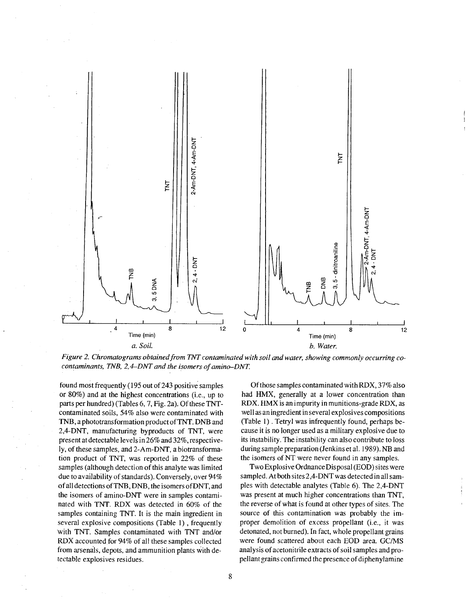

Figure 2. Chromatograms obtained from TNT contaminated with soil and water, showing commonly occurring cocontaminants, TNB, 2,4–DNT and the isomers of amino–DNT.

found most frequently (195 out of 243 positive samples or  $80\%$ ) and at the highest concentrations (i.e., up to parts per hundred) (Tables 6, 7, Fig. 2a). Of these TNTcontaminated soils, 54% also were contaminated with TNB, a phototransformation product of TNT. DNB and 2,4-DNT, manufacturing byproducts of TNT, were present at detectable levels in 26% and 32%, respectively, of these samples, and 2-Am-DNT, a biotransformation product of TNT, was reported in 22% of these samples (although detection of this analyte was limited due to availability of standards). Conversely, over 94% of all detections of TNB, DNB, the isomers of DNT, and the isomers of amino-DNT were in samples contaminated with TNT. RDX was detected in 60% of the samples containing TNT. It is the main ingredient in several explosive compositions (Table 1), frequently with TNT. Samples contaminated with TNT and/or RDX accounted for 94% of all these samples collected from arsenals, depots, and ammunition plants with detectable explosives residues.

Of those samples contaminated with RDX, 37% also had HMX, generally at a lower concentration than RDX. HMX is an impurity in munitions-grade RDX, as well as an ingredient in several explosives compositions (Table 1). Tetryl was infrequently found, perhaps because it is no longer used as a military explosive due to its instability. The instability can also contribute to loss during sample preparation (Jenkins et al. 1989). NB and the isomers of NT were never found in any samples.

Two Explosive Ordnance Disposal (EOD) sites were sampled. At both sites 2,4-DNT was detected in all samples with detectable analytes (Table 6). The 2,4-DNT was present at much higher concentrations than TNT, the reverse of what is found at other types of sites. The source of this contamination was probably the improper demolition of excess propellant (i.e., it was detonated, not burned). In fact, whole propellant grains were found scattered about each EOD area. GC/MS analysis of acetonitrile extracts of soil samples and propellant grains confirmed the presence of diphenylamine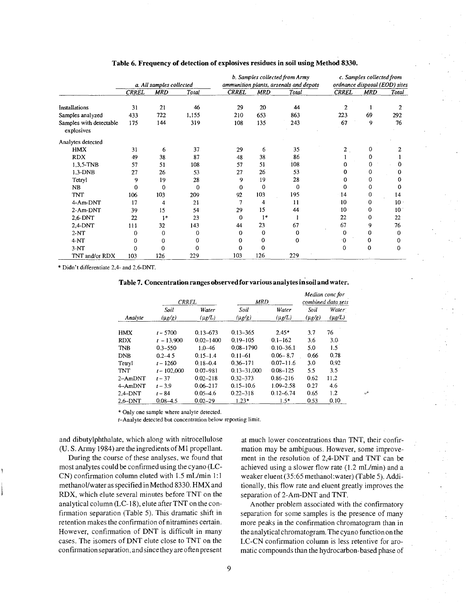|                                       | a. All samples collected |             |          |              | b. Samples collected from Army<br>ammunition plants, arsenals and depots |       | c. Samples collected from<br>ordnance disposal (EOD) sites |              |             |
|---------------------------------------|--------------------------|-------------|----------|--------------|--------------------------------------------------------------------------|-------|------------------------------------------------------------|--------------|-------------|
|                                       | <b>CRREL</b>             | <b>MRD</b>  | Total    | <b>CRREL</b> | <b>MRD</b>                                                               | Total | <b>CRREL</b>                                               | <b>MRD</b>   | Total       |
| Installations                         | 31                       | 21          | 46       | 29           | 20                                                                       | 44    | 2                                                          |              | 2           |
| Samples analyzed                      | 433                      | 722         | 1,155    | 210          | 653                                                                      | 863   | 223                                                        | 69           | 292         |
| Samples with detectable<br>explosives | 175                      | 144         | 319      | 108          | 135                                                                      | 243   | 67                                                         | 9            | 76          |
| Analytes detected                     |                          |             |          |              |                                                                          |       |                                                            |              |             |
| <b>HMX</b>                            | 31                       | 6           | 37       | 29           | 6                                                                        | 35    | 2                                                          | 0            |             |
| <b>RDX</b>                            | 49                       | 38          | 87       | 48           | 38                                                                       | 86    |                                                            | 0            |             |
| 1,3,5-TNB                             | 57                       | 51          | 108      | 57           | 51                                                                       | 108   | 0                                                          | 0            | 0           |
| $1,3-DNB$                             | 27                       | 26          | 53       | 27           | 26                                                                       | 53    | 0                                                          | 0            | 0           |
| Tetryl                                | 9                        | 19          | 28       | 9            | 19                                                                       | 28    | 0                                                          | 0            | 0           |
| NB                                    | 0                        | $\mathbf 0$ | $\Omega$ | 0            | 0                                                                        | 0     | 0                                                          | $\mathbf 0$  | 0           |
| <b>TNT</b>                            | 106                      | 103         | 209      | 92           | 103                                                                      | 195   | 14                                                         | 0            | 14          |
| 4-Am-DNT                              | 17                       | 4           | 21       | 7            | 4                                                                        | 11    | 10                                                         | $\mathbf 0$  | $10 -$      |
| 2-Am-DNT                              | 39                       | 15          | 54       | 29           | 15                                                                       | 44    | 10                                                         | 0            | 10          |
| 2.6-DNT                               | 22                       | $1*$        | 23       | 0            | $1*$                                                                     |       | 22                                                         | 0            | 22          |
| 2,4-DNT                               | 111                      | 32          | 143      | 44           | 23                                                                       | 67    | 67                                                         | 9            | 76          |
| $2-NT$                                | 0                        | $\mathbf 0$ | 0        | 0            | 0                                                                        | 0     | 0                                                          | 0            | 0           |
| $4-NT$                                | 0                        | 0           | 0        | 0            | 0                                                                        | 0     | 0                                                          | 0            | 0           |
| $3-NT$                                | 0                        | 0           | 0        | 0            | 0                                                                        |       | 0                                                          | $\mathbf{0}$ | $\mathbf 0$ |
| TNT and/or RDX                        | 103                      | 126         | 229      | 103          | 126                                                                      | 229   |                                                            |              |             |

#### Table 6. Frequency of detection of explosives residues in soil using Method 8330.

\* Didn't differentiate 2,4- and 2,6-DNT.

| <b>Table 7. Concentration ranges observed for various analytes in soil and water.</b> |  |  |  |
|---------------------------------------------------------------------------------------|--|--|--|
|---------------------------------------------------------------------------------------|--|--|--|

|         | <b>CRREL</b>  |               | <b>MRD</b>      | Median conc for<br>combined data sets |             |              |
|---------|---------------|---------------|-----------------|---------------------------------------|-------------|--------------|
|         | Soil          | Water         | Soil            | Water                                 | Soil:       | <b>Water</b> |
| Analyte | $(\mu g/g)$   | $(\mu g/L)$   | $(\mu g/g)$     | $(\mu g/L)$                           | $(\mu$ g/g) | $(\mu g/L)$  |
| HMX     | $t - 5700$    | $0.13 - 673$  | $0.13 - 365$    | $2.45*$                               | 3.7         | 76           |
| RDX     | $t - 13,900$  | $0.02 - 1400$ | $0.19 - 105$    | $0.1 - 162$                           | 3.6         | 3.0          |
| TNB     | $0.3 - 550$   | $1.0 - 46$    | 0.08-1790       | $0.10 - 36.1$                         | 5.0         | 1.5          |
| DNB     | $0.2 - 4.5$   | $0.15 - 1.4$  | $0.11 - 61$     | $0.06 - 8.7$                          | 0.66        | 0.78         |
| Tetryl  | $t - 1260$    | $0.18 - 0.4$  | $0.36 - 171$    | $0.07 - 11.6$                         | 3.0         | 0.92         |
| TNT     | $t - 102,000$ | $0.07 - 981$  | $0.13 - 31,000$ | $0.08 - 125$                          | 5.5         | 3.5          |
| 2–AmDNT | $t - 37$      | $0.02 - 218$  | $0.32 - 373$    | $0.86 - 216$                          | 0.62        | 11.2         |
| 4-AmDNT | $t - 3.9$     | $0.06 - 217$  | $0.15 - 10.6$   | $1.09 - 2.58$                         | 0.27        | 4.6          |
| 2.4-DNT | $t - 84$      | $0.05 - 4.6$  | $0.22 - 318$    | $0.12 - 6.74$                         | 0.65        | 1.2          |
| 2.6–DNT | $0.08 - 4.5$  | $0.02 - 29$   | $1.23*$         | $1.5*$                                | 0.53        | 0.10         |

\* Only one sample where analyte detected.

t-Analyte detected but concentration below reporting limit.

and dibutylphthalate, which along with nitrocellulose (U.S. Army 1984) are the ingredients of M1 propellant.

During the course of these analyses, we found that most analytes could be confirmed using the cyano (LC-CN) confirmation column eluted with 1.5 mL/min 1:1 methanol/water as specified in Method 8330. HMX and RDX, which elute several minutes before TNT on the analytical column (LC-18), elute after TNT on the confirmation separation (Table 5). This dramatic shift in retention makes the confirmation of nitramines certain. However, confirmation of DNT is difficult in many cases. The isomers of DNT elute close to TNT on the confirmation separation, and since they are often present

at much lower concentrations than TNT, their confirmation may be ambiguous. However, some improvement in the resolution of 2,4-DNT and TNT can be achieved using a slower flow rate (1.2 mL/min) and a weaker eluent (35:65 methanol: water) (Table 5). Additionally, this flow rate and eluent greatly improves the separation of 2-Am-DNT and TNT.

Another problem associated with the confirmatory separation for some samples is the presence of many more peaks in the confirmation chromatogram than in the analytical chromatogram. The cyano function on the LC-CN confirmation column is less retentive for aromatic compounds than the hydrocarbon-based phase of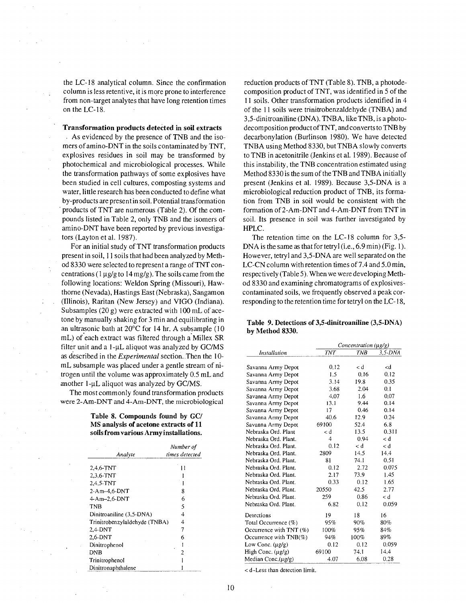the LC-18 analytical column. Since the confirmation column is less retentive, it is more prone to interference from non-target analytes that have long retention times on the LC-18.

Transformation products detected in soil extracts

As evidenced by the presence of TNB and the isomers of amino-DNT in the soils contaminated by TNT, explosives residues in soil may be transformed by photochemical and microbiological processes. While the transformation pathways of some explosives have been studied in cell cultures, composting systems and water, little research has been conducted to define what by-products are present in soil. Potential transformation products of TNT are numerous (Table 2). Of the compounds listed in Table 2, only TNB and the isomers of amino-DNT have been reported by previous investigators (Layton et al. 1987).

For an initial study of TNT transformation products present in soil, 11 soils that had been analyzed by Method 8330 were selected to represent a range of TNT concentrations ( $1 \mu g/g$  to  $14 \mu g/g$ ). The soils came from the following locations: Weldon Spring (Missouri), Hawthorne (Nevada), Hastings East (Nebraska), Sangamon (Illinois), Raritan (New Jersey) and VIGO (Indiana). Subsamples (20 g) were extracted with 100 mL of acetone by manually shaking for 3 min and equilibrating in an ultrasonic bath at 20°C for 14 hr. A subsample (10 mL) of each extract was filtered through a Millex SR filter unit and a 1-µL aliquot was analyzed by GC/MS as described in the *Experimental* section. Then the 10mL subsample was placed under a gentle stream of nitrogen until the volume was approximately 0.5 mL and another 1-µL aliquot was analyzed by GC/MS.

The most commonly found transformation products were 2-Am-DNT and 4-Am-DNT, the microbiological

> Table 8. Compounds found by GC/ MS analysis of acetone extracts of 11 soils from various Army installations.

| Analyte                       | Number of<br>times detected |
|-------------------------------|-----------------------------|
| $2,4,6$ -TNT                  | Ħ                           |
| $2.3.6-TNT$                   |                             |
| 2,4,5-TNT                     | 1                           |
| $2$ -Am $-4.6$ -DNT           | 8                           |
| $4-Am-2,6-DNT$                | 6                           |
| TNB                           | 5                           |
| Dinitroaniline (3,5-DNA)      | 4                           |
| Trinitrobenzylaldehyde (TNBA) | 4                           |
| $2.4-DNT$                     | 7                           |
| 2,6-DNT                       | 6                           |
| Dinitrophenol                 |                             |
| DNB                           | 2                           |
| Trinitrophenol                |                             |
| Dinitronanhthalene            |                             |

reduction products of TNT (Table 8). TNB, a photodecomposition product of TNT, was identified in 5 of the 11 soils. Other transformation products identified in 4 of the 11 soils were trinitrobenzaldehyde (TNBA) and 3,5-dinitroaniline (DNA). TNBA, like TNB, is a photodecomposition product of TNT, and converts to TNB by decarbonylation (Burlinson 1980). We have detected TNBA using Method 8330, but TNBA slowly converts to TNB in acetonitrile (Jenkins et al. 1989). Because of this instability, the TNB concentration estimated using Method 8330 is the sum of the TNB and TNBA initially present (Jenkins et al. 1989). Because 3,5-DNA is a microbiological reduction product of TNB, its formation from TNB in soil would be consistent with the formation of 2-Am-DNT and 4-Am-DNT from TNT in soil. Its presence in soil was further investigated by HPLC.

The retention time on the LC-18 column for  $3,5$ -DNA is the same as that for tetryl (i.e., 6.9 min) (Fig. 1). However, tetryl and 3,5-DNA are well separated on the LC-CN column with retention times of 7.4 and 5.0 min, respectively (Table 5). When we were developing Method 8330 and examining chromatograms of explosivescontaminated soils, we frequently observed a peak corresponding to the retention time for tetryl on the LC-18,

|                 | Table 9. Detections of 3.5-dinitroaniline (3.5-DNA) |
|-----------------|-----------------------------------------------------|
| by Method 8330. |                                                     |

|                           | Concentration $(\mu g/g)$ |            |                 |  |  |
|---------------------------|---------------------------|------------|-----------------|--|--|
| Installation              | <b>TNT</b>                | <b>TNB</b> | $3.5$ -DNA      |  |  |
|                           |                           |            |                 |  |  |
| Savanna Army Depot        | 0.12                      | < d        | <d< td=""></d<> |  |  |
| Savanna Army Depot        | 1.5                       | 0.16       | 0.12            |  |  |
| Savanna Army Depot        | 3.14                      | 19.8       | 0.35            |  |  |
| Savanna Army Depot        | 3.68                      | 2.04       | 0.1             |  |  |
| Savanna Army Depot        | 4.07                      | 1.6        | 0.07            |  |  |
| Savanna Army Depot        | 13.1                      | 9.44       | 0.14            |  |  |
| Savanna Army Depot        | 17                        | 0.46       | 0.14            |  |  |
| Savanna Army Depot        | 40.6                      | 12.9       | 0.24            |  |  |
| Savanna Army Depot        | 69100                     | 52.4       | 6.8             |  |  |
| Nebraska Ord. Plant       | < d                       | 13.5       | 0.311           |  |  |
| Nebraska Ord. Plant.      | 4                         | 0.94       | < d             |  |  |
| Nebraska Ord. Plant.      | 0.12                      | < d        | < d             |  |  |
| Nebraska Ord. Plant.      | 2809                      | 14.5       | 14.4            |  |  |
| Nebraska Ord. Plant.      | 81                        | 74.1       | 0.51            |  |  |
| Nebraska Ord. Plant.      | 0.12                      | 2.72       | 0.075           |  |  |
| Nebraska Ord. Plant.      | 2.17                      | 73.9       | 1.45            |  |  |
| Nebraska Ord. Plant.      | 0.33                      | 0.12       | 1.65            |  |  |
| Nebraska Ord. Plant.      | 20550                     | 42.5       | 2.77            |  |  |
| Nebraska Ord. Plant.      | 259                       | 0.86       | < d             |  |  |
| Nebraska Ord. Plant.      | 6.82                      | 0.12       | 0.059           |  |  |
| Detections                | 19                        | 18         | 16              |  |  |
| Total Occurrence (%)      | 95%                       | 90%        | 80%             |  |  |
| Occurrence with TNT (%)   | 100%                      | 95%        | 84%             |  |  |
| Occurrence with $TNB(\%)$ | 94%                       | 100%       | 89%             |  |  |
| Low Conc. $(\mu g/g)$     | 0.12                      | 0.12       | 0.059           |  |  |
| High Conc. $(\mu g/g)$    | 69100                     | 74.1       | 14.4            |  |  |
| Median Conc.(µg/g)        | 4.07                      | 6.08       | 0.28            |  |  |

< d-Less than detection limit.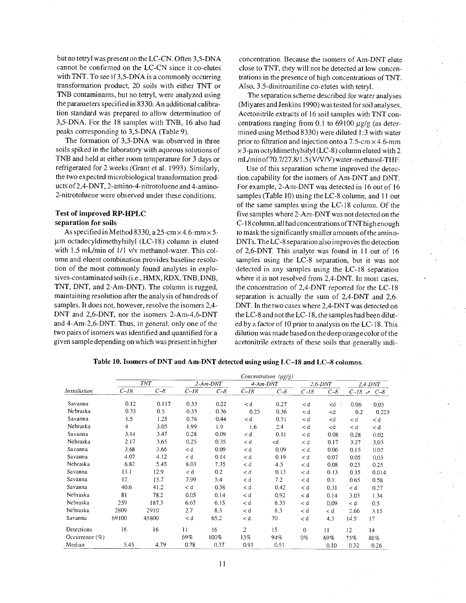but no tetryl was present on the LC-CN. Often 3,5-DNA cannot be confirmed on the LC-CN since it co-elutes with TNT. To see if 3,5-DNA is a commonly occurring transformation product, 20 soils with either TNT or TNB contaminants, but no tetryl, were analyzed using the parameters specified in 8330. An additional calibration standard was prepared to allow determination of 3,5-DNA. For the 18 samples with TNB, 16 also had peaks corresponding to 3,5-DNA (Table 9).

The formation of 3.5-DNA was observed in three soils spiked in the laboratory with aqueous solutions of TNB and held at either room temperature for 3 days or refrigerated for 2 weeks (Grant et al. 1993). Similarly, the two expected microbiological transformation products of 2,4-DNT, 2-amino-4-nitrotoluene and 4-amino-2-nitrotoluene were observed under these conditions.

#### **Test of improved RP-HPLC** separation for soils

As specified in Method 8330, a 25-cm  $\times$  4.6-mm  $\times$  5um octadecyldimethylsilyl (LC-18) column is eluted with 1.5 mL/min of 1/1 v/v methanol-water. This column and eluent combination provides baseline resolution of the most commonly found analytes in explosives-contaminated soils (i.e., HMX, RDX, TNB, DNB, TNT, DNT, and 2-Am-DNT). The column is rugged, maintaining resolution after the analysis of hundreds of samples. It does not, however, resolve the isomers 2,4-DNT and 2,6-DNT, nor the isomers 2-Am-4,6-DNT and 4-Am-2,6-DNT. Thus, in general, only one of the two pairs of isomers was identified and quantified for a given sample depending on which was present in higher

concentration. Because the isomers of Am-DNT elute close to TNT, they will not be detected at low concentrations in the presence of high concentrations of TNT. Also, 3.5-dinitroaniline co-elutes with tetryl.

The separation scheme described for water analyses (Miyares and Jenkins 1990) was tested for soil analyses. Acetonitrile extracts of 16 soil samples with TNT concentrations ranging from 0.1 to 69100  $\mu$ g/g (as determined using Method 8330) were diluted 1:3 with water prior to filtration and injection onto a 7.5-cm  $\times$  4.6-mm  $\times$ 3-µm octyldimethylsilyl (LC-8) column eluted with 2 mL/minof70.7/27.8/1.5 (V/V/V) water-methanol-THF.

Use of this separation scheme improved the detection capability for the isomers of Am-DNT and DNT. For example, 2-Am-DNT was detected in 16 out of 16 samples (Table 10) using the LC-8 column, and 11 out of the same samples using the LC-18 column. Of the five samples where 2-Am-DNT was not detected on the C-18 column, all had concentrations of TNT high enough to mask the significantly smaller amounts of the amino-DNTs. The LC-8 separation also improves the detection of 2,6-DNT. This analyte was found in 11 out of 16 samples using the LC-8 separation, but it was not detected in any samples using the LC-18 separation where it is not resolved from 2,4-DNT. In most cases, the concentration of 2,4-DNT reported for the LC-18 separation is actually the sum of 2,4-DNT and 2,6-DNT. In the two cases where 2,4-DNT was detected on the LC-8 and not the LC-18, the samples had been diluted by a factor of 10 prior to analysis on the LC-18. This dilution was made based on the deep orange color of the acetonitrile extracts of these soils that generally indi-

| Table 10. Isomers of DNT and Am-DNT detected using using LC-18 and LC-8 columns. |  |
|----------------------------------------------------------------------------------|--|

| Installation      |        | Concentration (µg/g) |            |         |             |                                                                       |           |                                               |                  |         |
|-------------------|--------|----------------------|------------|---------|-------------|-----------------------------------------------------------------------|-----------|-----------------------------------------------|------------------|---------|
|                   | TNT    |                      | $2-Am-DNT$ |         | $4$ -Am-DNT |                                                                       | $2.6-DNT$ |                                               | $2,4$ - $DNT$    |         |
|                   | $C-I8$ | $C - 8$              | $C-18$     | $C - 8$ | $C - 18$    | $C - \delta$                                                          | $C - 18$  | $C - 8$                                       | $C-18$ $\approx$ | $C - 8$ |
| Savanna           | 0.12   | 0.117                | 0.33       | 0.22    | < d         | 0.27                                                                  | < d       | $<$ d                                         | 0.06             | 0.05    |
| Nebraska          | 0.33   | 0.5                  | 0.33       | 0.36    | 0.25        | 0.36                                                                  | < d       | $<$ d                                         | 0.2              | 0.225   |
| Savanna           | 1.5    | 1.25                 | 0.78       | 0.44    | < d         | 0.51                                                                  | < d       | <d< td=""><td>&lt; d</td><td>&lt; d</td></d<> | < d              | < d     |
| Nebraska          | 4      | 3.05                 | 1.99       | 1.9     | 1.6         | 2.4                                                                   | < d       | <d< td=""><td>&lt; d</td><td>&lt; d</td></d<> | < d              | < d     |
| Savanna           | 3.14   | 3.47                 | 0.28       | 0.09    | < d         | 0.11                                                                  | < d       | 0.08                                          | 0.28             | 0.02    |
| Nebraska          | 2.17   | 3.65                 | 0.25       | 0.35    | < d         | <d< td=""><td>&lt; d</td><td>0.17</td><td>3.27</td><td>3.05</td></d<> | < d       | 0.17                                          | 3.27             | 3.05    |
| Savanna           | 3.68   | 3.66                 | < d        | 0.09    | < d         | 0.09                                                                  | < d       | 0.06                                          | 0.15             | 0.02    |
| Savanna           | 4.07   | 4.12                 | < d        | 0.14    | < d         | 0.19                                                                  | < d       | 0.07                                          | 0.05             | 0.03    |
| Nebraska          | 6.82   | 5.45                 | 8.03       | 7.35    | < d         | 4.5                                                                   | < d       | 0.08                                          | 0.25             | 0.25    |
| Savanna           | 13.1   | 12.9                 | < d        | 0.2     | < d         | 0.13                                                                  | < d       | 0.13                                          | 0.35             | 0.014   |
| Savanna           | 17     | 15.7                 | 7.99       | 5.4     | < d         | 7.2                                                                   | < d       | 0.1                                           | 0.65             | 0.58    |
| Savanna           | 40.6   | 41.2                 | < d        | 0.38    | < d         | 0.42                                                                  | < d       | 0.31                                          | < d              | 0.27    |
| Nebraska          | 81     | 78.2                 | 0.05       | 0.14    | < d         | 0.92                                                                  | < d       | 0.14                                          | 3.03             | 1.34    |
| Nebraska          | 259    | 187.5                | 6.67       | 6.15    | < d         | 8.35                                                                  | < d       | 0.09                                          | < d              | 0.5     |
| Nebraska          | 2809   | 2910                 | 2.7        | 8.3     | < d         | 8.3                                                                   | < d       | < d                                           | 2.66             | 3.15    |
| Savanna           | 69100  | 45800                | < d        | 65.2    | < d         | 70                                                                    | < d       | 4.3                                           | 14.5             | 17      |
| Detections        | 16     | 16                   | Ħ          | 16      | 2           | 15                                                                    | $\Omega$  | 11                                            | 12               | 14      |
| Occurrence $(\%)$ |        |                      | $69\%$     | $100\%$ | 13%         | 94%                                                                   | $0\%$     | 69%                                           | 75%              | 88%     |
| Median            | 5.45   | 4.79                 | 0.78       | 0.37    | 0.93        | 0.51                                                                  |           | 0.10                                          | 0.32             | 0.26    |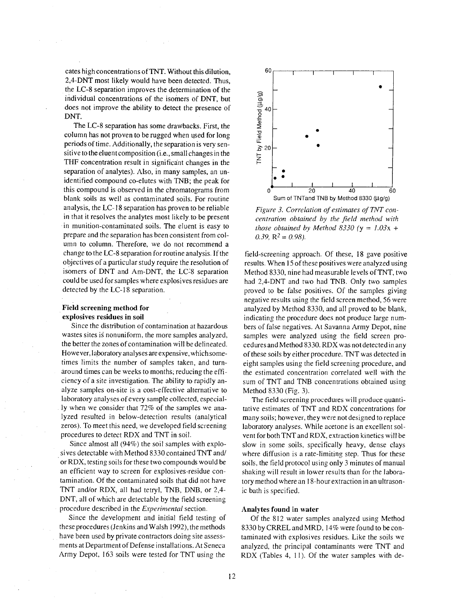cates high concentrations of TNT. Without this dilution, 2,4-DNT most likely would have been detected. Thus, the LC-8 separation improves the determination of the individual concentrations of the isomers of DNT, but does not improve the ability to detect the presence of DNT.

The LC-8 separation has some drawbacks. First, the column has not proven to be rugged when used for long periods of time. Additionally, the separation is very sensitive to the eluent composition (i.e., small changes in the THF concentration result in significant changes in the separation of analytes). Also, in many samples, an unidentified compound co-elutes with TNB; the peak for this compound is observed in the chromatograms from blank soils as well as contaminated soils. For routine analysis, the LC-18 separation has proven to be reliable in that it resolves the analytes most likely to be present in munition-contaminated soils. The eluent is easy to prepare and the separation has been consistent from column to column. Therefore, we do not recommend a change to the LC-8 separation for routine analysis. If the objectives of a particular study require the resolution of isomers of DNT and Am-DNT, the LC-8 separation could be used for samples where explosives residues are detected by the LC-18 separation.

#### **Field screening method for** explosives residues in soil

Since the distribution of contamination at hazardous wastes sites is nonuniform, the more samples analyzed, the better the zones of contamination will be delineated. However, laboratory analyses are expensive, which sometimes limits the number of samples taken, and turnaround times can be weeks to months, reducing the efficiency of a site investigation. The ability to rapidly analyze samples on-site is a cost-effective alternative to laboratory analyses of every sample collected, especially when we consider that 72% of the samples we analyzed resulted in below-detection results (analytical zeros). To meet this need, we developed field screening procedures to detect RDX and TNT in soil.

Since almost all (94%) the soil samples with explosives detectable with Method 8330 contained TNT and/ or RDX, testing soils for these two compounds would be an efficient way to screen for explosives-residue contamination. Of the contaminated soils that did not have TNT and/or RDX, all had tetryl, TNB, DNB, or 2,4-DNT, all of which are detectable by the field screening procedure described in the *Experimental* section.

Since the development and initial field testing of these procedures (Jenkins and Walsh 1992), the methods have been used by private contractors doing site assessments at Department of Defense installations. At Seneca Army Depot, 163 soils were tested for TNT using the



Figure 3. Correlation of estimates of TNT concentration obtained by the field method with those obtained by Method 8330 ( $y = 1.03x +$ 0.39,  $R^2 = 0.98$ ).

field-screening approach. Of these, 18 gave positive results. When 15 of these positives were analyzed using Method 8330, nine had measurable levels of TNT, two had 2,4-DNT and two had TNB. Only two samples proved to be false positives. Of the samples giving negative results using the field screen method, 56 were analyzed by Method 8330, and all proved to be blank, indicating the procedure does not produce large numbers of false negatives. At Savanna Army Depot, nine samples were analyzed using the field screen procedures and Method 8330. RDX was not detected in any of these soils by either procedure. TNT was detected in eight samples using the field screening procedure, and the estimated concentration correlated well with the sum of TNT and TNB concentrations obtained using Method 8330 (Fig. 3).

The field screening procedures will produce quantitative estimates of TNT and RDX concentrations for many soils; however, they were not designed to replace laboratory analyses. While acetone is an excellent solvent for both TNT and RDX, extraction kinetics will be slow in some soils, specifically heavy, dense clays where diffusion is a rate-limiting step. Thus for these soils, the field protocol using only 3 minutes of manual shaking will result in lower results than for the laboratory method where an 18-hour extraction in an ultrasonic bath is specified.

#### Analytes found in water

Of the 812 water samples analyzed using Method 8330 by CRREL and MRD, 14% were found to be contaminated with explosives residues. Like the soils we analyzed, the principal contaminants were TNT and RDX (Tables 4, 11). Of the water samples with de-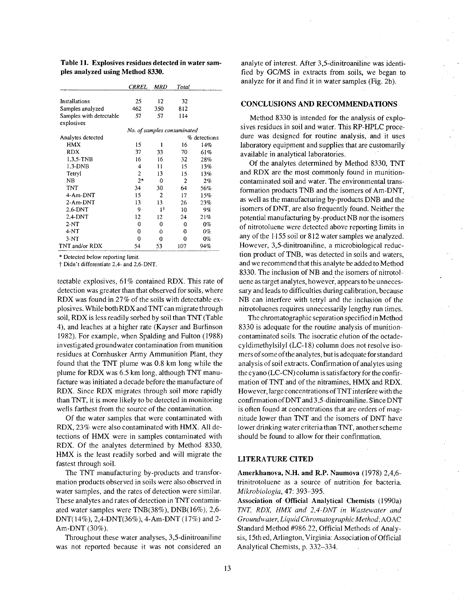|                                       | <b>CRREL</b>                | MRD            | Total |              |
|---------------------------------------|-----------------------------|----------------|-------|--------------|
|                                       |                             |                |       |              |
| Installations                         | 25                          | 12             | 32    |              |
| Samples analyzed                      | 462                         | 350            | 812   |              |
| Samples with detectable<br>explosives | 57                          | 57             | 114   |              |
|                                       | No. of samples contaminated |                |       |              |
|                                       |                             |                |       |              |
| Analytes detected                     |                             |                |       | % detections |
| <b>HMX</b>                            | 15                          | 1              | 16    | 14%          |
| <b>RDX</b>                            | 37                          | 33             | 70    | 61%          |
| 1.3.5-TNB                             | 16                          | 16             | 32    | 28%          |
| $1.3-DNB$                             | 4                           | 11             | 15    | 13%          |
| Tetryl                                | $\overline{2}$              | 13             | 15    | 13%          |
| <b>NB</b>                             | $2*$                        | 0              | 2     | 2%           |
| TNT                                   | 34                          | 30             | 64    | 56%          |
| 4-Am-DNT                              | 15                          | $\overline{c}$ | 17    | 15%          |
| 2-Am-DNT                              | 13                          | 13             | 26    | 23%          |
| $2,6$ -DNT                            | 9                           | 1†             | 10    | 9%           |
| $2.4-DNT$                             | 12                          | 12             | 24    | 21%          |
| $2-NT$                                | 0                           | 0              | 0     | $0\%$        |
| 4-NT                                  | 0                           | 0              | 0     | $0\%$        |
| $3-NT$                                | 0                           | 0              | 0     | 0%           |
| TNT and/or RDX                        | 54                          | 53             | 107   | 94%          |

Table 11. Explosives residues detected in water samples analyzed using Method 8330.

\* Detected below reporting limit.

† Didn't differentiate 2,4- and 2,6-DNT.

tectable explosives, 61% contained RDX. This rate of detection was greater than that observed for soils, where RDX was found in 27% of the soils with detectable explosives. While both RDX and TNT can migrate through soil, RDX is less readily sorbed by soil than TNT (Table 4), and leaches at a higher rate (Kayser and Burlinson 1982). For example, when Spalding and Fulton (1988) investigated groundwater contamination from munition residues at Cornhusker Army Ammunition Plant, they found that the TNT plume was 0.8 km long while the plume for RDX was 6.5 km long, although TNT manufacture was initiated a decade before the manufacture of RDX. Since RDX migrates through soil more rapidly than TNT, it is more likely to be detected in monitoring wells farthest from the source of the contamination.

Of the water samples that were contaminated with RDX, 23% were also contaminated with HMX. All detections of HMX were in samples contaminated with RDX. Of the analytes determined by Method 8330, HMX is the least readily sorbed and will migrate the fastest through soil.

The TNT manufacturing by-products and transformation products observed in soils were also observed in water samples, and the rates of detection were similar. These analytes and rates of detection in TNT contaminated water samples were  $TNB(38\%)$ ,  $DNB(16\%)$ , 2,6-DNT(14%), 2,4-DNT(36%), 4-Am-DNT (17%) and 2-Am-DNT (30%).

Throughout these water analyses, 3,5-dinitroaniline was not reported because it was not considered an

analyte of interest. After 3,5-dinitroaniline was identified by GC/MS in extracts from soils, we began to analyze for it and find it in water samples (Fig. 2b).

#### **CONCLUSIONS AND RECOMMENDATIONS**

Method 8330 is intended for the analysis of explosives residues in soil and water. This RP-HPLC procedure was designed for routine analysis, and it uses laboratory equipment and supplies that are customarily available in analytical laboratories.

Of the analytes determined by Method 8330, TNT and RDX are the most commonly found in munitioncontaminated soil and water. The environmental transformation products TNB and the isomers of Am-DNT. as well as the manufacturing by-products DNB and the isomers of DNT, are also frequently found. Neither the potential manufacturing by-product NB nor the isomers of nitrotoluene were detected above reporting limits in any of the 1155 soil or 812 water samples we analyzed. However, 3,5-dinitroaniline, a microbiological reduction product of TNB, was detected in soils and waters, and we recommend that this analyte be added to Method 8330. The inclusion of NB and the isomers of nitrotoluene as target analytes, however, appears to be unnecessary and leads to difficulties during calibration, because NB can interfere with tetryl and the inclusion of the nitrotoluenes requires unnecessarily lengthy run times.

The chromatographic separation specified in Method 8330 is adequate for the routine analysis of munitioncontaminated soils. The isocratic elution of the octadecyldimethylsilyl (LC-18) column does not resolve isomers of some of the analytes, but is adequate for standard analysis of soil extracts. Confirmation of analytes using the cyano (LC-CN) column is satisfactory for the confirmation of TNT and of the nitramines, HMX and RDX. However, large concentrations of TNT interfere with the confirmation of DNT and 3,5-dinitroaniline. Since DNT is often found at concentrations that are orders of magnitude lower than TNT and the isomers of DNT have lower drinking water criteria than TNT, another scheme should be found to allow for their confirmation.

#### **LITERATURE CITED**

Amerkhanova, N.H. and R.P. Naumova (1978) 2,4,6trinitrotoluene as a source of nutrition for bacteria. Mikrobiologia, 47: 393-395.

Association of Official Analytical Chemists (1990a) TNT, RDX, HMX and 2,4-DNT in Wastewater and Groundwater, Liquid Chromatographic Method; AOAC Standard Method #986.22, Official Methods of Analysis, 15th ed, Arlington, Virginia: Association of Official Analytical Chemists, p. 332–334.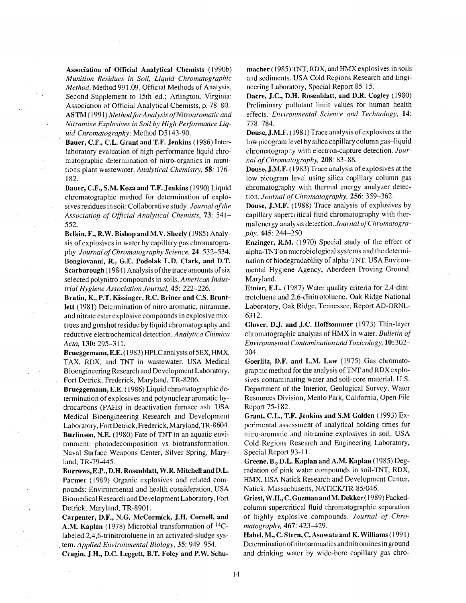Association of Official Analytical Chemists (1990b) Munition Residues in Soil, Liquid Chromatographic Method. Method 991.09, Official Methods of Analysis, Second Supplement to 15th ed.; Arlington, Virginia: Association of Official Analytical Chemists, p. 78–80. ASTM (1991) Method for Analysis of Nitroaromatic and Nitramine Explosives in Soil by High Performance Liquid Chromatography: Method D5143-90.

Bauer, C.F., C.L. Grant and T.F. Jenkins (1986) Interlaboratory evaluation of high-performance liquid chromatographic determination of nitro-organics in munitions plant wastewater. Analytical Chemistry, 58: 176– 182.

Bauer, C.F., S.M. Koza and T.F. Jenkins (1990) Liquid chromatographic method for determination of explosives residues in soil: Collaborative study. Journal of the Association of Official Analytical Chemists, 73: 541-552.

Belkin, F., R.W. Bishop and M.V. Sheely (1985) Analysis of explosives in water by capillary gas chromatography. Journal of Chromatography Science, 24: 532-534. Bongiovanni, R., G.E. Podolak L.D. Clark, and D.T. Scarborough (1984) Analysis of the trace amounts of six selected polynitro compounds in soils. American Industrial Hygiene Association Journal, 45: 222-226.

Bratin, K., P.T. Kissinger, R.C. Briner and C.S. Bruntlett (1981) Determination of nitro aromatic, nitramine, and nitrate ester explosive compounds in explosive mixtures and gunshot residue by liquid chromatography and reductive electrochemical detection. Analytica Chimica Acta, 130: 295-311.

Brueggemann, E.E. (1983) HPLC analysis of 5EX, HMX, TAX, RDX, and TNT in wastewater. USA Medical Bioengineering Research and Development Laboratory, Fort Detrick, Frederick, Maryland, TR-8206.

Brueggemann, E.E. (1986) Liquid chromatographic determination of explosives and polynuclear aromatic hydrocarbons (PAHs) in deactivation furnace ash. USA Medical Bioengineering Research and Development Laboratory, Fort Detrick, Frederick, Maryland, TR-8604. Burlinson, N.E. (1980) Fate of TNT in an aquatic environment: photodecomposition vs biotransformation. Naval Surface Weapons Center, Silver Spring, Maryland, TR-79-445.

 $\bar{z}$ 

Burrows, E.P., D.H. Rosenblatt, W.R. Mitchell and D.L. Parmer (1989) Organic explosives and related compounds: Environmental and health consideration. USA Biomedical Research and Development Laboratory, Fort Detrick, Maryland, TR-8901.

Carpenter, D.F., N.G. McCormick, J.H. Cornell, and A.M. Kaplan (1978) Microbial transformation of <sup>14</sup>Clabeled 2,4,6-trinitrotoluene in an activated-sludge system. Applied Environmental Biology, 35: 949-954.

Cragin, J.H., D.C. Leggett, B.T. Foley and P.W. Schu-

macher (1985) TNT, RDX, and HMX explosives in soils and sediments. USA Cold Regions Research and Engineering Laboratory, Special Report 85-15.

Dacre, J.C., D.H. Rosenblatt, and D.R. Cogley (1980) Preliminary pollutant limit values for human health effects. Environmental Science and Technology, 14: 778-784.

Douse, J.M.F. (1981) Trace analysis of explosives at the low picogram level by silica capillary column gas-liquid chromatography with electron-capture detection. Journal of Chromatography, 208: 83-88.

Douse, J.M.F. (1983) Trace analysis of explosives at the low picogram level using silica capillary column gas chromatography with thermal energy analyzer detection. Journal of Chromatography, 256: 359-362.

Douse, J.M.F. (1988) Trace analysis of explosives by capillary supercritical fluid chromatography with thermal energy analysis detection. Journal of Chromatogra*phy*, 445: 244–250.

Enzinger, R.M. (1970) Special study of the effect of alpha-TNT on microbiological systems and the determination of biodegradability of alpha-TNT. USA Environmental Hygiene Agency, Aberdeen Proving Ground, Maryland.

Etnier, E.L. (1987) Water quality criteria for 2,4-dinitrotoluene and 2,6-dinitrotoluene. Oak Ridge National Laboratory, Oak Ridge, Tennessee, Report AD-ORNL-6312.

Glover, D.J. and J.C. Hoffsommer (1973) Thin-layer chromatographic analysis of HMX in water. Bulletin of Environmental Contamination and Toxicology, 10:302-304.

Goerlitz, D.F. and L.M. Law (1975) Gas chromatographic method for the analysis of TNT and RDX explosives contaminating water and soil-core material. U.S. Department of the Interior, Geological Survey, Water Resources Division, Menlo Park, California, Open File Report 75-182.

Grant, C.L., T.F. Jenkins and S.M Golden (1993) Experimental assessment of analytical holding times for nitro-aromatic and nitramine explosives in soil. USA Cold Regions Research and Engineering Laboratory, Special Report 93-11.

Greene, B., D.L. Kaplan and A.M. Kaplan (1985) Degradation of pink water compounds in soil-TNT, RDX, HMX. USA Natick Research and Development Center, Natick, Massachusetts, NATICK/TR-85/046.

Griest, W.H., C. Guzman and M. Dekker (1989) Packedcolumn supercritical fluid chromatographic separation of highly explosive compounds. Journal of Chromatography, 467: 423-429.

Habel, M., C. Stern, C. Asowata and K. Williams (1991) Determination of nitroaromatics and nitromines in ground and drinking water by wide-bore capillary gas chro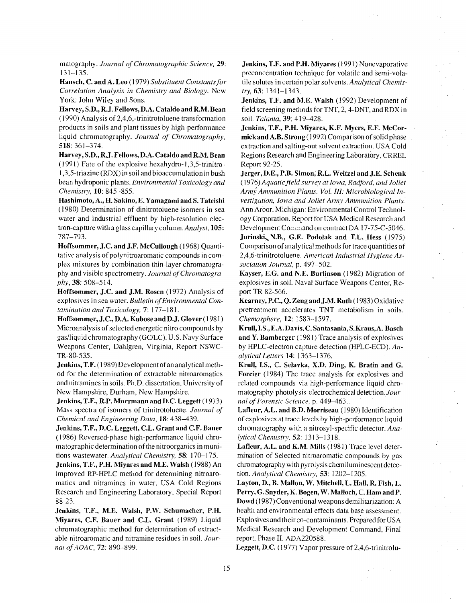matography. Journal of Chromatographic Science, 29:  $131 - 135.$ 

Hansch, C. and A. Leo (1979) Substituent Constants for Correlation Analysis in Chemistry and Biology. New York: John Wiley and Sons.

Harvey, S.D., R.J. Fellows, D.A. Cataldo and R.M. Bean  $(1990)$  Analysis of 2,4,6,-trinitrotoluene transformation products in soils and plant tissues by high-performance liquid chromatography. Journal of Chromatography, 518: 361-374.

Harvey, S.D., R.J. Fellows, D.A. Cataldo and R.M. Bean (1991) Fate of the explosive hexahydro-1,3,5-trinitro-1,3,5-triazine (RDX) in soil and bioaccumulation in bush bean hydroponic plants. Environmental Toxicology and Chemistry, 10: 845-855.

Hashimoto, A., H. Sakino, E. Yamagami and S. Tateishi (1980) Determination of dinitrotoiuene isomers in sea water and industrial effluent by high-resolution electron-capture with a glass capillary column. Analyst, 105: 787-793.

Hoffsommer, J.C. and J.F. McCullough (1968) Quantitative analysis of polynitroaromatic compounds in complex mixtures by combination thin-layer chromatography and visible spectrometry. Journal of Chromatography, 38: 508-514.

Hoffsommer, J.C. and J.M. Rosen (1972) Analysis of explosives in sea water. Bulletin of Environmental Contamination and Toxicology, 7: 177-181.

Hoffsommer, J.C., D.A. Kubose and D.J. Glover (1981) Microanalysis of selected energetic nitro compounds by gas/liquid chromatography (GC/LC). U.S. Navy Surface Weapons Center, Dahlgren, Virginia, Report NSWC-TR-80-535.

Jenkins, T.F. (1989) Development of an analytical method for the determination of extractable nitroaromatics and nitramines in soils. Ph.D. dissertation, University of New Hampshire, Durham, New Hampshire.

Jenkins, T.F., R.P. Murrmann and D.C. Leggett (1973) Mass spectra of isomers of trinitrotoluene. Journal of Chemical and Engineering Data, 18: 438-439.

Jenkins, T.F., D.C. Leggett, C.L. Grant and C.F. Bauer (1986) Reversed-phase high-performance liquid chromatographic determination of the nitroorganics in munitions wastewater. Analytical Chemistry, 58: 170-175.

Jenkins, T.F., P.H. Miyares and M.E. Walsh (1988) An improved RP-HPLC method for determining nitroaromatics and nitramines in water. USA Cold Regions Research and Engineering Laboratory, Special Report  $88-23.$ 

Jenkins, T.F., M.E. Walsh, P.W. Schumacher, P.H. Miyares, C.F. Bauer and C.L. Grant (1989) Liquid chromatographic method for determination of extractable nitroaromatic and nitramine residues in soil. Journal of AOAC, 72: 890-899.

Jenkins, T.F. and P.H. Miyares (1991) Nonevaporative preconcentration technique for volatile and semi-volatile solutes in certain polar solvents. Analytical Chemis*try*,  $63: 1341 - 1343$ .

Jenkins, T.F. and M.E. Walsh (1992) Development of field screening methods for TNT, 2, 4-DNT, and RDX in soil. Talanta, 39: 419-428.

Jenkins, T.F., P.H. Miyares, K.F. Myers, E.F. McCormick and A.B. Strong (1992) Comparison of solid phase extraction and salting-out solvent extraction. USA Cold Regions Research and Engineering Laboratory, CRREL Report 92-25.

Jerger, D.E., P.B. Simon, R.L. Weitzel and J.E. Schenk (1976) Aquatic field survey at Iowa, Radford, and Joliet Army Ammunition Plants. Vol. III: Microbiological Investigation, Iowa and Joliet Army Ammunition Plants. Ann Arbor, Michigan: Environmental Control Technology Corporation. Report for USA Medical Research and Development Command on contract DA 17-75-C-5046. Jurinski, N.B., G.E. Podolak and T.L. Hess (1975) Comparison of analytical methods for trace quantities of 2,4,6-trinitrotoluene. American Industrial Hygiene Association Journal, p. 497-502.

Kayser, E.G. and N.E. Burlinson (1982) Migration of explosives in soil. Naval Surface Weapons Center, Report TR 82-566.

Kearney, P.C., Q. Zeng and J.M. Ruth (1983) Oxidative pretreatment accelerates TNT metabolism in soils. Chemosphere, 12: 1583-1597.

Krull, I.S., E.A. Davis, C. Santasania, S. Kraus, A. Basch and Y. Bamberger (1981) Trace analysis of explosives by HPLC-electron capture detection (HPLC-ECD). Analytical Letters 14: 1363-1376.

Krull, I.S., C. Selavka, X.D. Ding, K. Bratin and G. Forcier (1984) The trace analysis for explosives and related compounds via high-performance liquid chromatography-photolysis-electrochemical detection. Journal of Forensic Science, p. 449-463.

Lafleur, A.L. and B.D. Morriseau (1980) Identification of explosives at trace levels by high-performance liquid chromatography with a nitrosyl-specific detector. Analytical Chemistry, 52: 1313-1318.

Lafleur, A.L. and K.M. Mills (1981) Trace level determination of Selected nitroaromatic compounds by gas chromatography with pyrolysis chemiluminescent detection. Analytical Chemistry, 53: 1202-1205.

Layton, D., B. Mallon, W. Mitchell, L. Hall, R. Fish, L. Perry, G. Snyder, K. Bogen, W. Malloch, C. Ham and P. Dowd (1987) Conventional weapons demilitarization: A health and environmental effects data base assessment. Explosives and their co-contaminants. Prepared for USA Medical Research and Development Command, Final report, Phase II. ADA220588.

Leggett, D.C. (1977) Vapor pressure of 2,4,6-trinitrolu-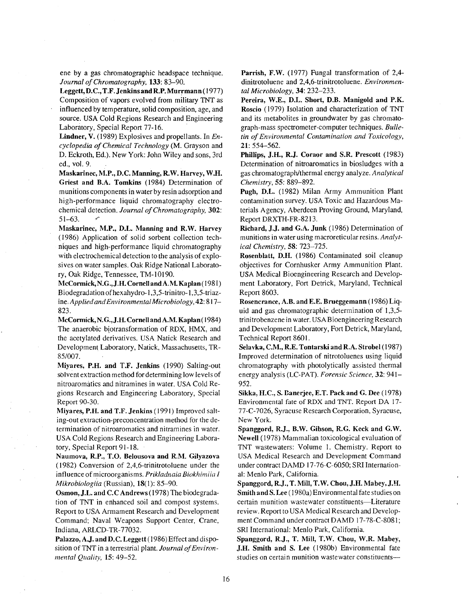ene by a gas chromatographic headspace technique. Journal of Chromatography, 133: 83-90.

Leggett, D.C., T.F. Jenkins and R.P. Murrmann (1977) Composition of vapors evolved from military TNT as influenced by temperature, solid composition, age, and source. USA Cold Regions Research and Engineering Laboratory, Special Report 77-16.

Lindner, V. (1989) Explosives and propellants. In Encyclopedia of Chemical Technology (M. Grayson and D. Eckroth, Ed.). New York: John Wiley and sons, 3rd ed., vol. 9.

Maskarinec, M.P., D.C. Manning, R.W. Harvey, W.H. Griest and B.A. Tomkins (1984) Determination of munitions components in water by resin adsorption and high-performance liquid chromatography electrochemical detection. Journal of Chromatography, 302:  $51 - 63.$ 

Maskarinec, M.P., D.L. Manning and R.W. Harvey (1986) Application of solid sorbent collection techniques and high-performance liquid chromatography with electrochemical detection to the analysis of explosives on water samples. Oak Ridge National Laboratory, Oak Ridge, Tennessee, TM-10190.

McCormick, N.G., J.H. Cornell and A.M. Kaplan (1981) Biodegradation of hexahydro-1,3,5-trinitro-1,3,5-triazine. Applied and Environmental Microbiology, 42: 817-823.

McCormick, N.G., J.H. Cornell and A.M. Kaplan (1984) The anaerobic biotransformation of RDX, HMX, and the acetylated derivatives. USA Natick Research and Development Laboratory, Natick, Massachusetts, TR-85/007.

Miyares, P.H. and T.F. Jenkins (1990) Salting-out solvent extraction method for determining low levels of nitroaromatics and nitramines in water. USA Cold Regions Research and Engineering Laboratory, Special Report 90-30.

Miyares, P.H. and T.F. Jenkins (1991) Improved salting-out extraction-preconcentration method for the determination of nitroaromatics and nitramines in water. USA Cold Regions Research and Engineering Laboratory, Special Report 91-18.

Naumova, R.P., T.O. Belousova and R.M. Gilyazova (1982) Conversion of 2,4,6-trinitrotoluene under the influence of microorganisms. Prikladnaia Biokhimiia I Mikrobiologiia (Russian), 18(1): 85-90.

Osmon, J.L. and C.C Andrews (1978) The biodegradation of TNT in enhanced soil and compost systems. Report to USA Armament Research and Development Command; Naval Weapons Support Center, Crane, Indiana, ARLCD-TR-77032.

Palazzo, A.J. and D.C. Leggett (1986) Effect and disposition of TNT in a terrestrial plant. Journal of Environmental Quality, 15: 49-52.

Parrish, F.W. (1977) Fungal transformation of 2,4dinitrotoluene and 2,4,6-trinitrotoluene. Environmental Microbiology, 34: 232-233.

Pereira, W.E., D.L. Short, D.B. Manigold and P.K. Roscio (1979) Isolation and characterization of TNT and its metabolites in groundwater by gas chromatograph-mass spectrometer-computer techniques. Bulletin of Environmental Contamination and Toxicology, 21: 554-562.

Phillips, J.H., R.J. Coraor and S.R. Prescott (1983) Determination of nitroaromatics in biosludges with a gas chromatograph/thermal energy analyze. Analytical Chemistry, 55: 889-892.

Pugh, D.L. (1982) Milan Army Ammunition Plant contamination survey. USA Toxic and Hazardous Materials Agency, Aberdeen Proving Ground, Maryland, Report DRXTH-FR-8213.

Richard, J.J. and G.A. Junk (1986) Determination of munitions in water using macroreticular resins. Analytical Chemistry, 58: 723-725.

Rosenblatt, D.H. (1986) Contaminated soil cleanup objectives for Cornhusker Army Ammunition Plant. USA Medical Bioengineering Research and Development Laboratory, Fort Detrick, Maryland, Technical Report 8603.

Rosencrance, A.B. and E.E. Brueggemann (1986) Liquid and gas chromatographic determination of 1,3,5trinitrobenzene in water. USA Bioengineering Research and Development Laboratory, Fort Detrick, Maryland, Technical Report 8601.

Selavka, C.M., R.E. Tontarski and R.A. Strobel (1987) Improved determination of nitrotoluenes using liquid chromatography with photolytically assisted thermal energy analysis (LC-PAT). Forensic Science, 32: 941-952.

Sikka, H.C., S. Banerjee, E.T. Pack and G. Dee (1978) Environmental fate of RDX and TNT. Report DA 17-77-C-7026, Syracuse Research Corporation, Syracuse, New York.

Spanggord, R.J., B.W. Gibson, R.G. Keck and G.W. Newell (1978) Mammalian toxicological evaluation of TNT wastewaters: Volume 1. Chemistry. Report to USA Medical Research and Development Command under contract DAMD 17-76-C-6050; SRI International: Menlo Park, California.

Spanggord, R.J., T. Mill, T.W. Chou, J.H. Mabey, J.H. Smith and S. Lee (1980a) Environmental fate studies on certain munition wastewater constituents-Literature review. Report to USA Medical Research and Development Command under contract DAMD 17-78-C-8081; SRI International: Menlo Park, California.

Spanggord, R.J., T. Mill, T.W. Chou, W.R. Mabey, J.H. Smith and S. Lee (1980b) Environmental fate studies on certain munition wastewater constituents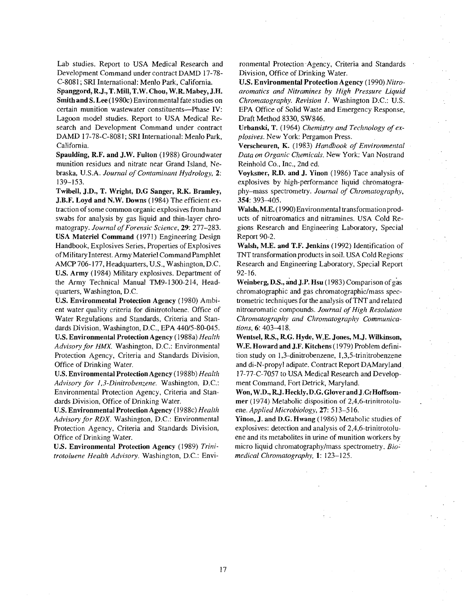Lab studies. Report to USA Medical Research and Development Command under contract DAMD 17-78-C-8081; SRI International: Menlo Park, California.

Spanggord, R.J., T. Mill, T.W. Chou, W.R. Mabey, J.H. Smith and S. Lee (1980c) Environmental fate studies on certain munition wastewater constituents--Phase IV: Lagoon model studies. Report to USA Medical Research and Development Command under contract DAMD 17-78-C-8081; SRI International: Menlo Park, California.

Spaulding, R.F. and J.W. Fulton (1988) Groundwater munition residues and nitrate near Grand Island, Nebraska, U.S.A. Journal of Contaminant Hydrology, 2:  $139 - 153$ .

Twibell, J.D., T. Wright, D.G Sanger, R.K. Bramley, J.B.F. Loyd and N.W. Downs (1984) The efficient extraction of some common organic explosives from hand swabs for analysis by gas liquid and thin-layer chromatograpy. Journal of Forensic Science, 29: 277-283. USA Materiel Command (1971) Engineering Design Handbook, Explosives Series, Properties of Explosives of Military Interest. Army Materiel Command Pamphlet AMCP 706-177, Headquarters, U.S., Washington, D.C. U.S. Army (1984) Military explosives. Department of the Army Technical Manual TM9-1300-214, Headquarters, Washington, D.C.

U.S. Environmental Protection Agency (1980) Ambient water quality criteria for dinitrotoluene. Office of Water Regulations and Standards, Criteria and Standards Division, Washington, D.C., EPA 440/5-80-045. U.S. Environmental Protection Agency (1988a) Health Advisory for HMX. Washington, D.C.: Environmental Protection Agency, Criteria and Standards Division, Office of Drinking Water.

U.S. Environmental Protection Agency (1988b) Health Advisory for 1,3-Dinitrobenzene. Washington, D.C.: Environmental Protection Agency, Criteria and Standards Division, Office of Drinking Water.

U.S. Environmental Protection Agency (1988c) Health Advisory for RDX. Washington, D.C.: Environmental Protection Agency, Criteria and Standards Division, Office of Drinking Water.

U.S. Environmental Protection Agency (1989) Trinitrotoluene Health Advisory. Washington, D.C.: Envi-

ronmental Protection Agency, Criteria and Standards Division, Office of Drinking Water.

U.S. Environmental Protection Agency (1990) Nitroaromatics and Nitramines by High Pressure Liquid Chromatography. Revision 1. Washington D.C.: U.S. EPA Office of Solid Waste and Emergency Response, Draft Method 8330, SW846.

Urbanski, T. (1964) Chemistry and Technology of ex*plosives.* New York: Pergamon Press.

Verscheuren, K. (1983) Handbook of Environmental Data on Organic Chemicals. New York: Van Nostrand Reinhold Co., Inc., 2nd ed.

Voyksner, R.D. and J. Yinon (1986) Tace analysis of explosives by high-performance liquid chromatography-mass spectrometry. Journal of Chromatography, 354: 393-405.

Walsh, M.E. (1990) Environmental transformation products of nitroaromatics and nitramines. USA Cold Regions Research and Engineering Laboratory, Special Report 90-2.

Walsh, M.E. and T.F. Jenkins (1992) Identification of TNT transformation products in soil. USA Cold Regions Research and Engineering Laboratory, Special Report  $92 - 16.$ 

Weinberg, D.S., and J.P. Hsu (1983) Comparison of gas chromatographic and gas chromatographic/mass spectrometric techniques for the analysis of TNT and related nitroaromatic compounds. Journal of High Resolution Chromatography and Chromatography Communications, 6: 403-418.

Wentsel, R.S., R.G. Hyde, W.E. Jones, M.J. Wilkinson, W.E. Howard and J.F. Kitchens (1979) Problem definition study on 1,3-dinitrobenzene, 1,3,5-trinitrobenzene and di-N-propyl adipate. Contract Report DAMaryland 17-77-C-7057 to USA Medical Research and Development Command, Fort Detrick, Maryland.

Won, W.D., R.J. Heckly, D.G. Glover and J.C. Hoffsommer (1974) Metabolic disposition of 2,4,6-trinitrotoluene. Applied Microbiology, 27: 513-516.

Yinon, J. and D.G. Hwang (1986) Metabolic studies of explosives: detection and analysis of 2,4,6-trinitrotoluene and its metabolites in urine of munition workers by micro liquid chromatography/mass spectrometry, Biomedical Chromatography, 1: 123-125.